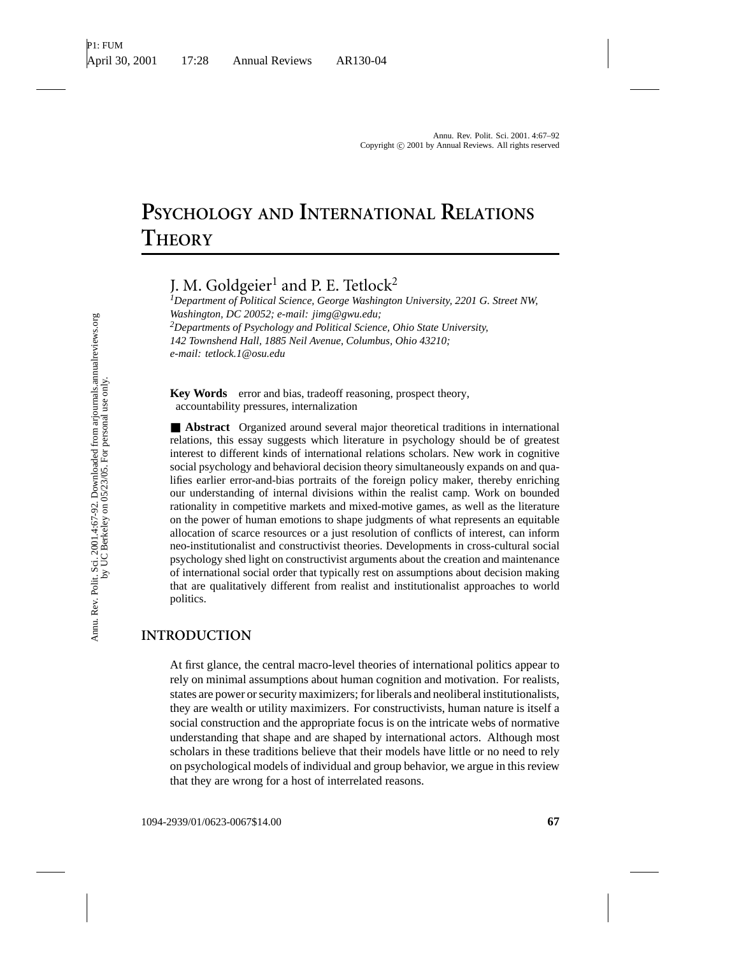# **PSYCHOLOGY AND INTERNATIONAL RELATIONS THEORY**

J. M. Goldgeier<sup>1</sup> and P. E. Tetlock<sup>2</sup>

*1Department of Political Science, George Washington University, 2201 G. Street NW, Washington, DC 20052; e-mail: jimg@gwu.edu; 2Departments of Psychology and Political Science, Ohio State University, 142 Townshend Hall, 1885 Neil Avenue, Columbus, Ohio 43210; e-mail: tetlock.1@osu.edu*

**Key Words** error and bias, tradeoff reasoning, prospect theory, accountability pressures, internalization

■ **Abstract** Organized around several major theoretical traditions in international relations, this essay suggests which literature in psychology should be of greatest interest to different kinds of international relations scholars. New work in cognitive social psychology and behavioral decision theory simultaneously expands on and qualifies earlier error-and-bias portraits of the foreign policy maker, thereby enriching our understanding of internal divisions within the realist camp. Work on bounded rationality in competitive markets and mixed-motive games, as well as the literature on the power of human emotions to shape judgments of what represents an equitable allocation of scarce resources or a just resolution of conflicts of interest, can inform neo-institutionalist and constructivist theories. Developments in cross-cultural social psychology shed light on constructivist arguments about the creation and maintenance of international social order that typically rest on assumptions about decision making that are qualitatively different from realist and institutionalist approaches to world politics.

# **INTRODUCTION**

At first glance, the central macro-level theories of international politics appear to rely on minimal assumptions about human cognition and motivation. For realists, states are power or security maximizers; for liberals and neoliberal institutionalists, they are wealth or utility maximizers. For constructivists, human nature is itself a social construction and the appropriate focus is on the intricate webs of normative understanding that shape and are shaped by international actors. Although most scholars in these traditions believe that their models have little or no need to rely on psychological models of individual and group behavior, we argue in this review that they are wrong for a host of interrelated reasons.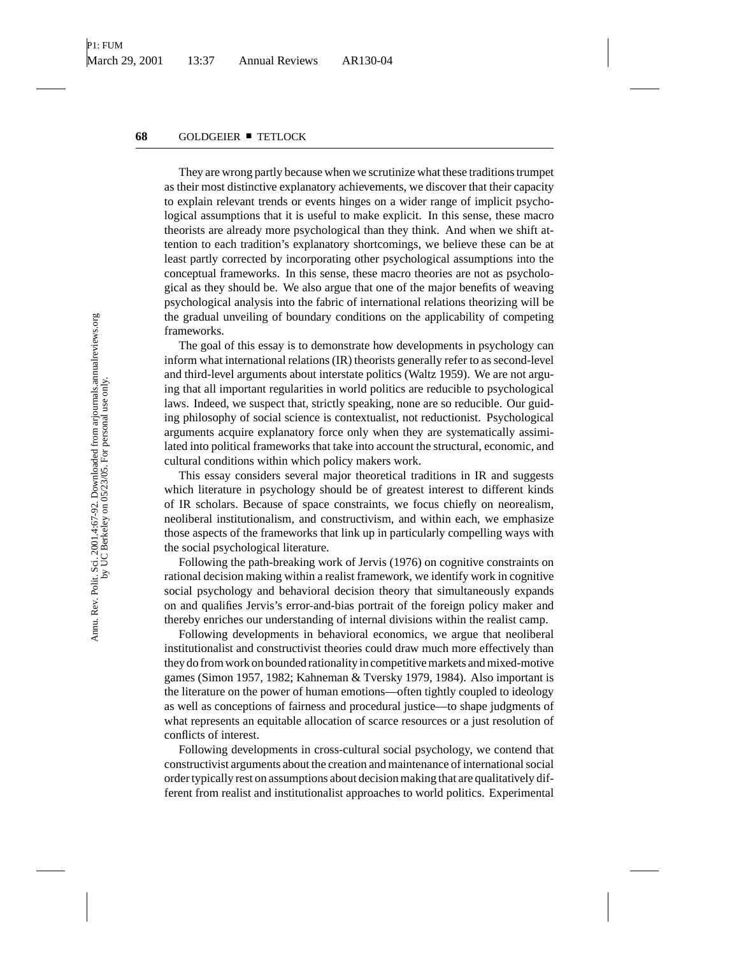They are wrong partly because when we scrutinize what these traditions trumpet as their most distinctive explanatory achievements, we discover that their capacity to explain relevant trends or events hinges on a wider range of implicit psychological assumptions that it is useful to make explicit. In this sense, these macro theorists are already more psychological than they think. And when we shift attention to each tradition's explanatory shortcomings, we believe these can be at least partly corrected by incorporating other psychological assumptions into the conceptual frameworks. In this sense, these macro theories are not as psychological as they should be. We also argue that one of the major benefits of weaving psychological analysis into the fabric of international relations theorizing will be the gradual unveiling of boundary conditions on the applicability of competing frameworks.

The goal of this essay is to demonstrate how developments in psychology can inform what international relations (IR) theorists generally refer to as second-level and third-level arguments about interstate politics (Waltz 1959). We are not arguing that all important regularities in world politics are reducible to psychological laws. Indeed, we suspect that, strictly speaking, none are so reducible. Our guiding philosophy of social science is contextualist, not reductionist. Psychological arguments acquire explanatory force only when they are systematically assimilated into political frameworks that take into account the structural, economic, and cultural conditions within which policy makers work.

This essay considers several major theoretical traditions in IR and suggests which literature in psychology should be of greatest interest to different kinds of IR scholars. Because of space constraints, we focus chiefly on neorealism, neoliberal institutionalism, and constructivism, and within each, we emphasize those aspects of the frameworks that link up in particularly compelling ways with the social psychological literature.

Following the path-breaking work of Jervis (1976) on cognitive constraints on rational decision making within a realist framework, we identify work in cognitive social psychology and behavioral decision theory that simultaneously expands on and qualifies Jervis's error-and-bias portrait of the foreign policy maker and thereby enriches our understanding of internal divisions within the realist camp.

Following developments in behavioral economics, we argue that neoliberal institutionalist and constructivist theories could draw much more effectively than they do from work on bounded rationality in competitive markets and mixed-motive games (Simon 1957, 1982; Kahneman & Tversky 1979, 1984). Also important is the literature on the power of human emotions—often tightly coupled to ideology as well as conceptions of fairness and procedural justice—to shape judgments of what represents an equitable allocation of scarce resources or a just resolution of conflicts of interest.

Following developments in cross-cultural social psychology, we contend that constructivist arguments about the creation and maintenance of international social order typically rest on assumptions about decision making that are qualitatively different from realist and institutionalist approaches to world politics. Experimental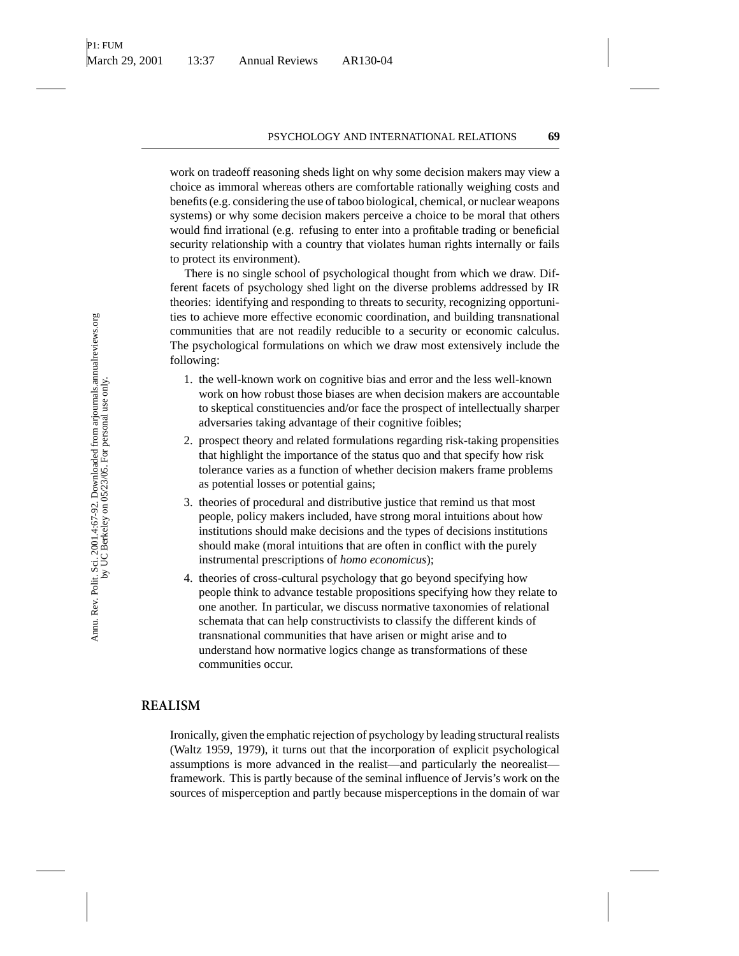work on tradeoff reasoning sheds light on why some decision makers may view a choice as immoral whereas others are comfortable rationally weighing costs and benefits (e.g. considering the use of taboo biological, chemical, or nuclear weapons systems) or why some decision makers perceive a choice to be moral that others would find irrational (e.g. refusing to enter into a profitable trading or beneficial security relationship with a country that violates human rights internally or fails to protect its environment).

There is no single school of psychological thought from which we draw. Different facets of psychology shed light on the diverse problems addressed by IR theories: identifying and responding to threats to security, recognizing opportunities to achieve more effective economic coordination, and building transnational communities that are not readily reducible to a security or economic calculus. The psychological formulations on which we draw most extensively include the following:

- 1. the well-known work on cognitive bias and error and the less well-known work on how robust those biases are when decision makers are accountable to skeptical constituencies and/or face the prospect of intellectually sharper adversaries taking advantage of their cognitive foibles;
- 2. prospect theory and related formulations regarding risk-taking propensities that highlight the importance of the status quo and that specify how risk tolerance varies as a function of whether decision makers frame problems as potential losses or potential gains;
- 3. theories of procedural and distributive justice that remind us that most people, policy makers included, have strong moral intuitions about how institutions should make decisions and the types of decisions institutions should make (moral intuitions that are often in conflict with the purely instrumental prescriptions of *homo economicus*);
- 4. theories of cross-cultural psychology that go beyond specifying how people think to advance testable propositions specifying how they relate to one another. In particular, we discuss normative taxonomies of relational schemata that can help constructivists to classify the different kinds of transnational communities that have arisen or might arise and to understand how normative logics change as transformations of these communities occur.

## **REALISM**

Ironically, given the emphatic rejection of psychology by leading structural realists (Waltz 1959, 1979), it turns out that the incorporation of explicit psychological assumptions is more advanced in the realist—and particularly the neorealist framework. This is partly because of the seminal influence of Jervis's work on the sources of misperception and partly because misperceptions in the domain of war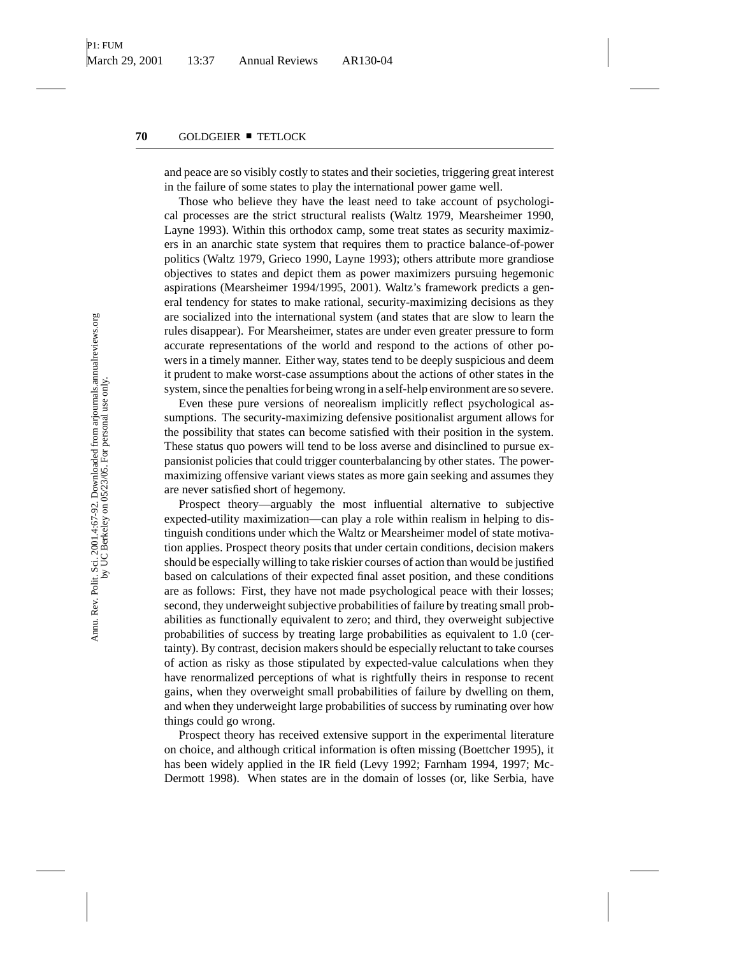and peace are so visibly costly to states and their societies, triggering great interest in the failure of some states to play the international power game well.

Those who believe they have the least need to take account of psychological processes are the strict structural realists (Waltz 1979, Mearsheimer 1990, Layne 1993). Within this orthodox camp, some treat states as security maximizers in an anarchic state system that requires them to practice balance-of-power politics (Waltz 1979, Grieco 1990, Layne 1993); others attribute more grandiose objectives to states and depict them as power maximizers pursuing hegemonic aspirations (Mearsheimer 1994/1995, 2001). Waltz's framework predicts a general tendency for states to make rational, security-maximizing decisions as they are socialized into the international system (and states that are slow to learn the rules disappear). For Mearsheimer, states are under even greater pressure to form accurate representations of the world and respond to the actions of other powers in a timely manner. Either way, states tend to be deeply suspicious and deem it prudent to make worst-case assumptions about the actions of other states in the system, since the penalties for being wrong in a self-help environment are so severe.

Even these pure versions of neorealism implicitly reflect psychological assumptions. The security-maximizing defensive positionalist argument allows for the possibility that states can become satisfied with their position in the system. These status quo powers will tend to be loss averse and disinclined to pursue expansionist policies that could trigger counterbalancing by other states. The powermaximizing offensive variant views states as more gain seeking and assumes they are never satisfied short of hegemony.

Prospect theory—arguably the most influential alternative to subjective expected-utility maximization—can play a role within realism in helping to distinguish conditions under which the Waltz or Mearsheimer model of state motivation applies. Prospect theory posits that under certain conditions, decision makers should be especially willing to take riskier courses of action than would be justified based on calculations of their expected final asset position, and these conditions are as follows: First, they have not made psychological peace with their losses; second, they underweight subjective probabilities of failure by treating small probabilities as functionally equivalent to zero; and third, they overweight subjective probabilities of success by treating large probabilities as equivalent to 1.0 (certainty). By contrast, decision makers should be especially reluctant to take courses of action as risky as those stipulated by expected-value calculations when they have renormalized perceptions of what is rightfully theirs in response to recent gains, when they overweight small probabilities of failure by dwelling on them, and when they underweight large probabilities of success by ruminating over how things could go wrong.

Prospect theory has received extensive support in the experimental literature on choice, and although critical information is often missing (Boettcher 1995), it has been widely applied in the IR field (Levy 1992; Farnham 1994, 1997; Mc-Dermott 1998). When states are in the domain of losses (or, like Serbia, have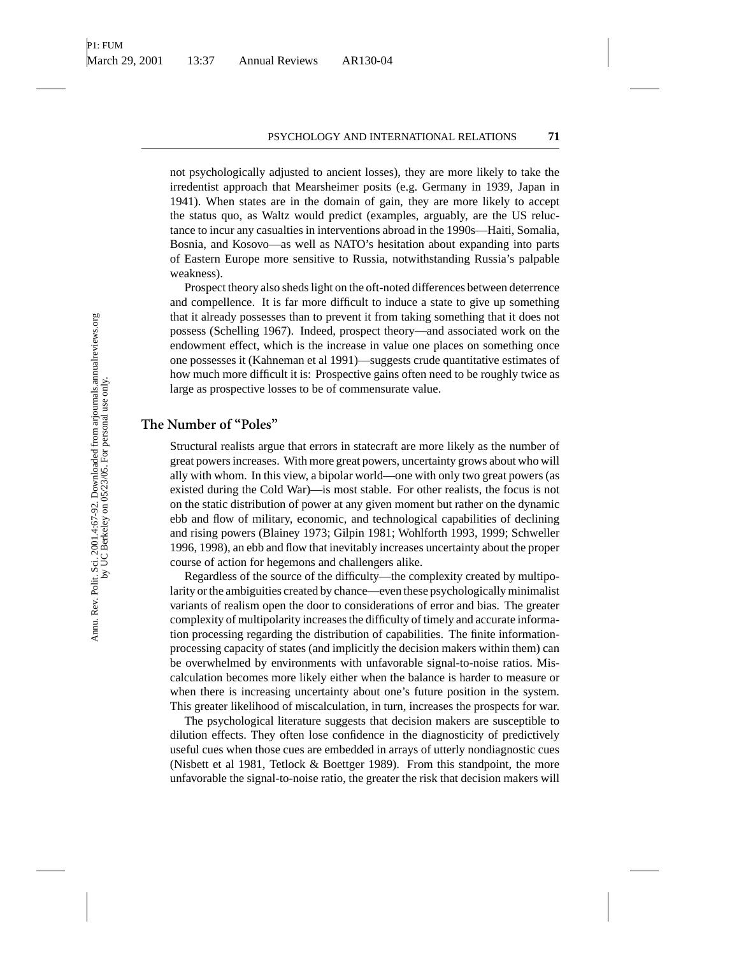not psychologically adjusted to ancient losses), they are more likely to take the irredentist approach that Mearsheimer posits (e.g. Germany in 1939, Japan in 1941). When states are in the domain of gain, they are more likely to accept the status quo, as Waltz would predict (examples, arguably, are the US reluctance to incur any casualties in interventions abroad in the 1990s—Haiti, Somalia, Bosnia, and Kosovo—as well as NATO's hesitation about expanding into parts of Eastern Europe more sensitive to Russia, notwithstanding Russia's palpable weakness).

Prospect theory also sheds light on the oft-noted differences between deterrence and compellence. It is far more difficult to induce a state to give up something that it already possesses than to prevent it from taking something that it does not possess (Schelling 1967). Indeed, prospect theory—and associated work on the endowment effect, which is the increase in value one places on something once one possesses it (Kahneman et al 1991)—suggests crude quantitative estimates of how much more difficult it is: Prospective gains often need to be roughly twice as large as prospective losses to be of commensurate value.

## **The Number of "Poles"**

Structural realists argue that errors in statecraft are more likely as the number of great powers increases. With more great powers, uncertainty grows about who will ally with whom. In this view, a bipolar world—one with only two great powers (as existed during the Cold War)—is most stable. For other realists, the focus is not on the static distribution of power at any given moment but rather on the dynamic ebb and flow of military, economic, and technological capabilities of declining and rising powers (Blainey 1973; Gilpin 1981; Wohlforth 1993, 1999; Schweller 1996, 1998), an ebb and flow that inevitably increases uncertainty about the proper course of action for hegemons and challengers alike.

Regardless of the source of the difficulty—the complexity created by multipolarity or the ambiguities created by chance—even these psychologically minimalist variants of realism open the door to considerations of error and bias. The greater complexity of multipolarity increases the difficulty of timely and accurate information processing regarding the distribution of capabilities. The finite informationprocessing capacity of states (and implicitly the decision makers within them) can be overwhelmed by environments with unfavorable signal-to-noise ratios. Miscalculation becomes more likely either when the balance is harder to measure or when there is increasing uncertainty about one's future position in the system. This greater likelihood of miscalculation, in turn, increases the prospects for war.

The psychological literature suggests that decision makers are susceptible to dilution effects. They often lose confidence in the diagnosticity of predictively useful cues when those cues are embedded in arrays of utterly nondiagnostic cues (Nisbett et al 1981, Tetlock & Boettger 1989). From this standpoint, the more unfavorable the signal-to-noise ratio, the greater the risk that decision makers will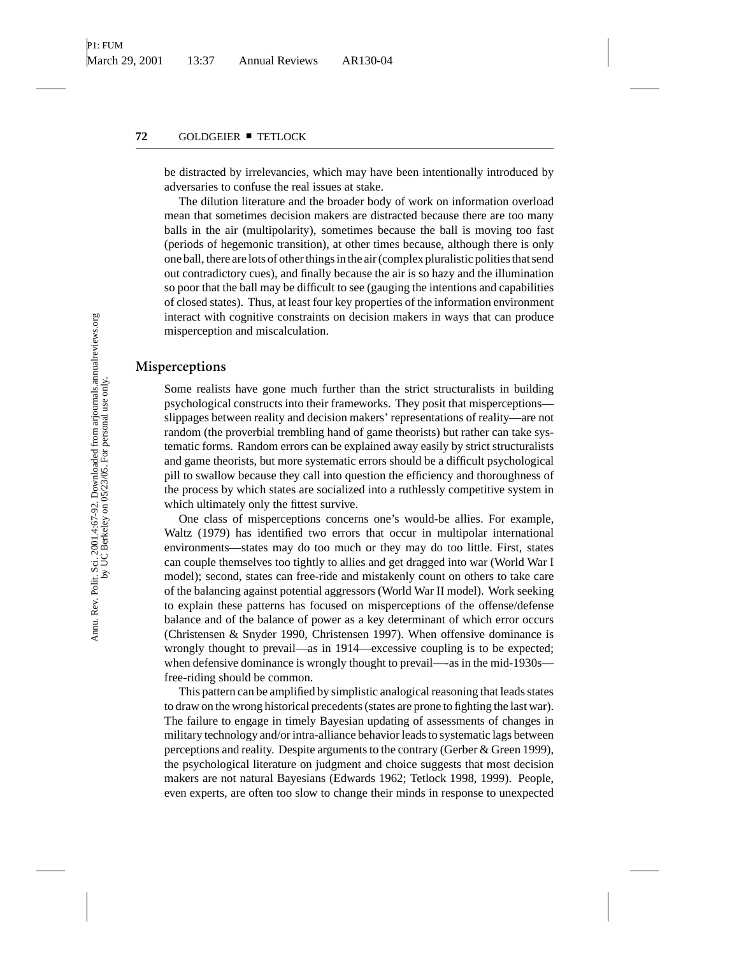be distracted by irrelevancies, which may have been intentionally introduced by adversaries to confuse the real issues at stake.

The dilution literature and the broader body of work on information overload mean that sometimes decision makers are distracted because there are too many balls in the air (multipolarity), sometimes because the ball is moving too fast (periods of hegemonic transition), at other times because, although there is only one ball, there are lots of other things in the air (complex pluralistic polities that send out contradictory cues), and finally because the air is so hazy and the illumination so poor that the ball may be difficult to see (gauging the intentions and capabilities of closed states). Thus, at least four key properties of the information environment interact with cognitive constraints on decision makers in ways that can produce misperception and miscalculation.

## **Misperceptions**

Some realists have gone much further than the strict structuralists in building psychological constructs into their frameworks. They posit that misperceptions slippages between reality and decision makers' representations of reality—are not random (the proverbial trembling hand of game theorists) but rather can take systematic forms. Random errors can be explained away easily by strict structuralists and game theorists, but more systematic errors should be a difficult psychological pill to swallow because they call into question the efficiency and thoroughness of the process by which states are socialized into a ruthlessly competitive system in which ultimately only the fittest survive.

One class of misperceptions concerns one's would-be allies. For example, Waltz (1979) has identified two errors that occur in multipolar international environments—states may do too much or they may do too little. First, states can couple themselves too tightly to allies and get dragged into war (World War I model); second, states can free-ride and mistakenly count on others to take care of the balancing against potential aggressors (World War II model). Work seeking to explain these patterns has focused on misperceptions of the offense/defense balance and of the balance of power as a key determinant of which error occurs (Christensen & Snyder 1990, Christensen 1997). When offensive dominance is wrongly thought to prevail—as in 1914—excessive coupling is to be expected; when defensive dominance is wrongly thought to prevail—-as in the mid-1930s free-riding should be common.

This pattern can be amplified by simplistic analogical reasoning that leads states to draw on the wrong historical precedents (states are prone to fighting the last war). The failure to engage in timely Bayesian updating of assessments of changes in military technology and/or intra-alliance behavior leads to systematic lags between perceptions and reality. Despite arguments to the contrary (Gerber & Green 1999), the psychological literature on judgment and choice suggests that most decision makers are not natural Bayesians (Edwards 1962; Tetlock 1998, 1999). People, even experts, are often too slow to change their minds in response to unexpected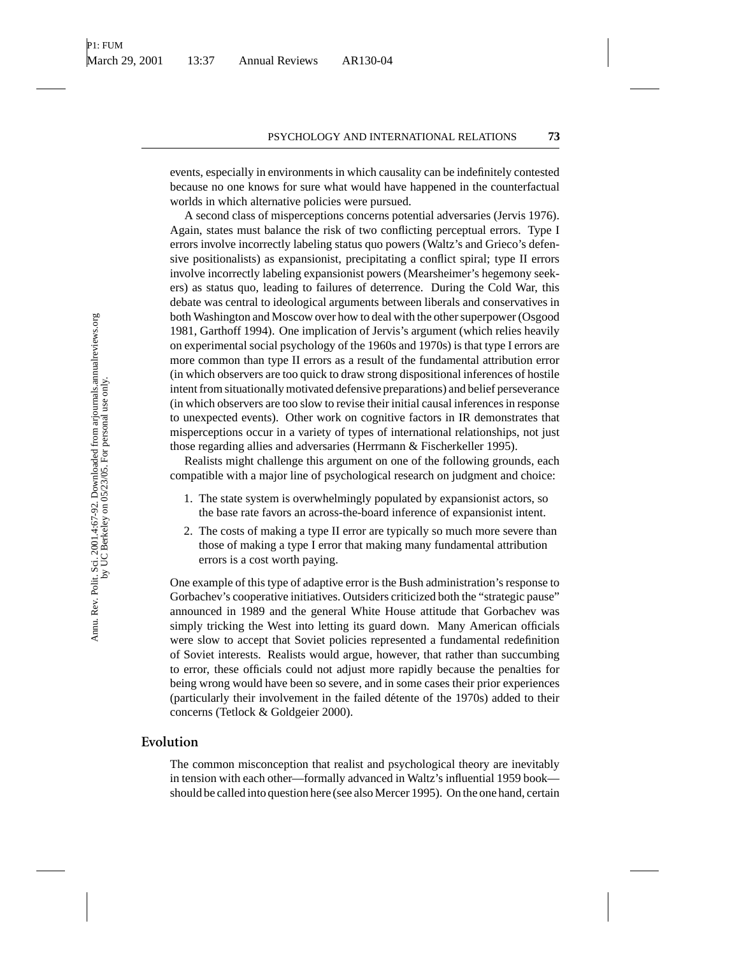events, especially in environments in which causality can be indefinitely contested because no one knows for sure what would have happened in the counterfactual worlds in which alternative policies were pursued.

A second class of misperceptions concerns potential adversaries (Jervis 1976). Again, states must balance the risk of two conflicting perceptual errors. Type I errors involve incorrectly labeling status quo powers (Waltz's and Grieco's defensive positionalists) as expansionist, precipitating a conflict spiral; type II errors involve incorrectly labeling expansionist powers (Mearsheimer's hegemony seekers) as status quo, leading to failures of deterrence. During the Cold War, this debate was central to ideological arguments between liberals and conservatives in both Washington and Moscow over how to deal with the other superpower (Osgood 1981, Garthoff 1994). One implication of Jervis's argument (which relies heavily on experimental social psychology of the 1960s and 1970s) is that type I errors are more common than type II errors as a result of the fundamental attribution error (in which observers are too quick to draw strong dispositional inferences of hostile intent from situationally motivated defensive preparations) and belief perseverance (in which observers are too slow to revise their initial causal inferences in response to unexpected events). Other work on cognitive factors in IR demonstrates that misperceptions occur in a variety of types of international relationships, not just those regarding allies and adversaries (Herrmann & Fischerkeller 1995).

Realists might challenge this argument on one of the following grounds, each compatible with a major line of psychological research on judgment and choice:

- 1. The state system is overwhelmingly populated by expansionist actors, so the base rate favors an across-the-board inference of expansionist intent.
- 2. The costs of making a type II error are typically so much more severe than those of making a type I error that making many fundamental attribution errors is a cost worth paying.

One example of this type of adaptive error is the Bush administration's response to Gorbachev's cooperative initiatives. Outsiders criticized both the "strategic pause" announced in 1989 and the general White House attitude that Gorbachev was simply tricking the West into letting its guard down. Many American officials were slow to accept that Soviet policies represented a fundamental redefinition of Soviet interests. Realists would argue, however, that rather than succumbing to error, these officials could not adjust more rapidly because the penalties for being wrong would have been so severe, and in some cases their prior experiences (particularly their involvement in the failed détente of the 1970s) added to their concerns (Tetlock & Goldgeier 2000).

## **Evolution**

The common misconception that realist and psychological theory are inevitably in tension with each other—formally advanced in Waltz's influential 1959 book should be called into question here (see also Mercer 1995). On the one hand, certain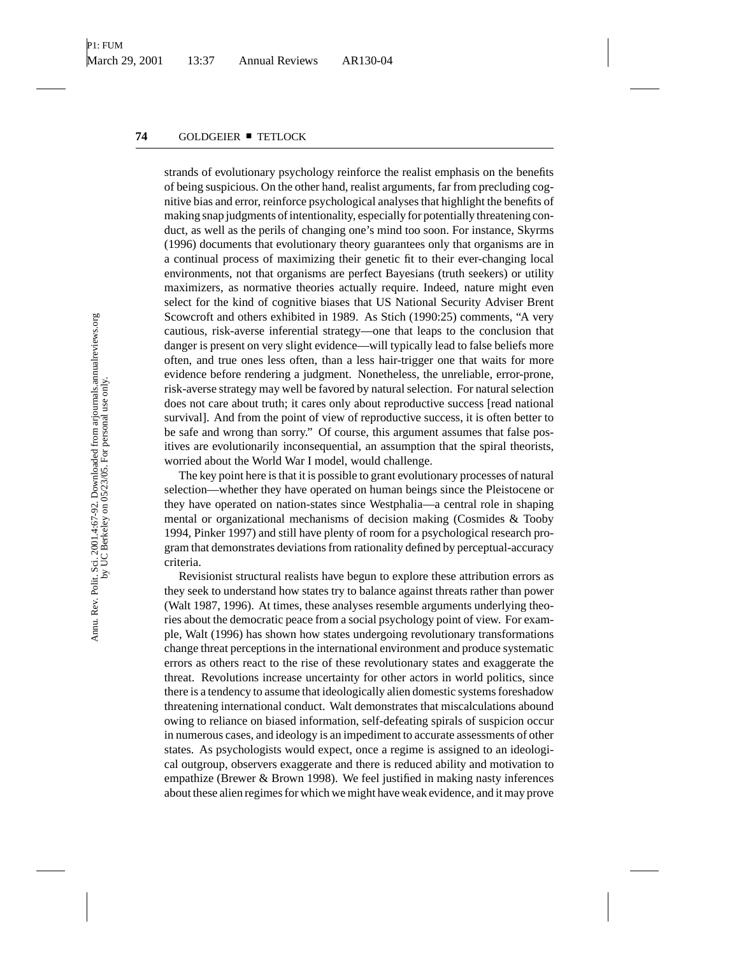strands of evolutionary psychology reinforce the realist emphasis on the benefits of being suspicious. On the other hand, realist arguments, far from precluding cognitive bias and error, reinforce psychological analyses that highlight the benefits of making snap judgments of intentionality, especially for potentially threatening conduct, as well as the perils of changing one's mind too soon. For instance, Skyrms (1996) documents that evolutionary theory guarantees only that organisms are in a continual process of maximizing their genetic fit to their ever-changing local environments, not that organisms are perfect Bayesians (truth seekers) or utility maximizers, as normative theories actually require. Indeed, nature might even select for the kind of cognitive biases that US National Security Adviser Brent Scowcroft and others exhibited in 1989. As Stich (1990:25) comments, "A very cautious, risk-averse inferential strategy—one that leaps to the conclusion that danger is present on very slight evidence—will typically lead to false beliefs more often, and true ones less often, than a less hair-trigger one that waits for more evidence before rendering a judgment. Nonetheless, the unreliable, error-prone, risk-averse strategy may well be favored by natural selection. For natural selection does not care about truth; it cares only about reproductive success [read national survival]. And from the point of view of reproductive success, it is often better to be safe and wrong than sorry." Of course, this argument assumes that false positives are evolutionarily inconsequential, an assumption that the spiral theorists, worried about the World War I model, would challenge.

The key point here is that it is possible to grant evolutionary processes of natural selection—whether they have operated on human beings since the Pleistocene or they have operated on nation-states since Westphalia—a central role in shaping mental or organizational mechanisms of decision making (Cosmides & Tooby 1994, Pinker 1997) and still have plenty of room for a psychological research program that demonstrates deviations from rationality defined by perceptual-accuracy criteria.

Revisionist structural realists have begun to explore these attribution errors as they seek to understand how states try to balance against threats rather than power (Walt 1987, 1996). At times, these analyses resemble arguments underlying theories about the democratic peace from a social psychology point of view. For example, Walt (1996) has shown how states undergoing revolutionary transformations change threat perceptions in the international environment and produce systematic errors as others react to the rise of these revolutionary states and exaggerate the threat. Revolutions increase uncertainty for other actors in world politics, since there is a tendency to assume that ideologically alien domestic systems foreshadow threatening international conduct. Walt demonstrates that miscalculations abound owing to reliance on biased information, self-defeating spirals of suspicion occur in numerous cases, and ideology is an impediment to accurate assessments of other states. As psychologists would expect, once a regime is assigned to an ideological outgroup, observers exaggerate and there is reduced ability and motivation to empathize (Brewer & Brown 1998). We feel justified in making nasty inferences about these alien regimes for which we might have weak evidence, and it may prove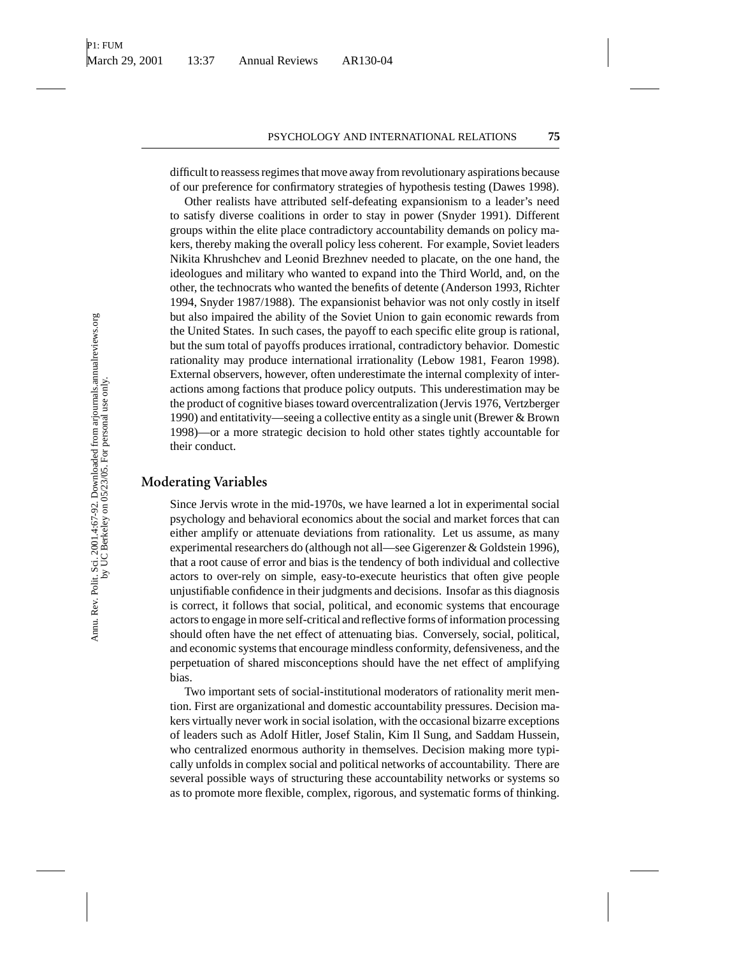difficult to reassess regimes that move away from revolutionary aspirations because of our preference for confirmatory strategies of hypothesis testing (Dawes 1998).

Other realists have attributed self-defeating expansionism to a leader's need to satisfy diverse coalitions in order to stay in power (Snyder 1991). Different groups within the elite place contradictory accountability demands on policy makers, thereby making the overall policy less coherent. For example, Soviet leaders Nikita Khrushchev and Leonid Brezhnev needed to placate, on the one hand, the ideologues and military who wanted to expand into the Third World, and, on the other, the technocrats who wanted the benefits of detente (Anderson 1993, Richter 1994, Snyder 1987/1988). The expansionist behavior was not only costly in itself but also impaired the ability of the Soviet Union to gain economic rewards from the United States. In such cases, the payoff to each specific elite group is rational, but the sum total of payoffs produces irrational, contradictory behavior. Domestic rationality may produce international irrationality (Lebow 1981, Fearon 1998). External observers, however, often underestimate the internal complexity of interactions among factions that produce policy outputs. This underestimation may be the product of cognitive biases toward overcentralization (Jervis 1976, Vertzberger 1990) and entitativity—seeing a collective entity as a single unit (Brewer & Brown 1998)—or a more strategic decision to hold other states tightly accountable for their conduct.

## **Moderating Variables**

Since Jervis wrote in the mid-1970s, we have learned a lot in experimental social psychology and behavioral economics about the social and market forces that can either amplify or attenuate deviations from rationality. Let us assume, as many experimental researchers do (although not all—see Gigerenzer & Goldstein 1996), that a root cause of error and bias is the tendency of both individual and collective actors to over-rely on simple, easy-to-execute heuristics that often give people unjustifiable confidence in their judgments and decisions. Insofar as this diagnosis is correct, it follows that social, political, and economic systems that encourage actors to engage in more self-critical and reflective forms of information processing should often have the net effect of attenuating bias. Conversely, social, political, and economic systems that encourage mindless conformity, defensiveness, and the perpetuation of shared misconceptions should have the net effect of amplifying bias.

Two important sets of social-institutional moderators of rationality merit mention. First are organizational and domestic accountability pressures. Decision makers virtually never work in social isolation, with the occasional bizarre exceptions of leaders such as Adolf Hitler, Josef Stalin, Kim Il Sung, and Saddam Hussein, who centralized enormous authority in themselves. Decision making more typically unfolds in complex social and political networks of accountability. There are several possible ways of structuring these accountability networks or systems so as to promote more flexible, complex, rigorous, and systematic forms of thinking.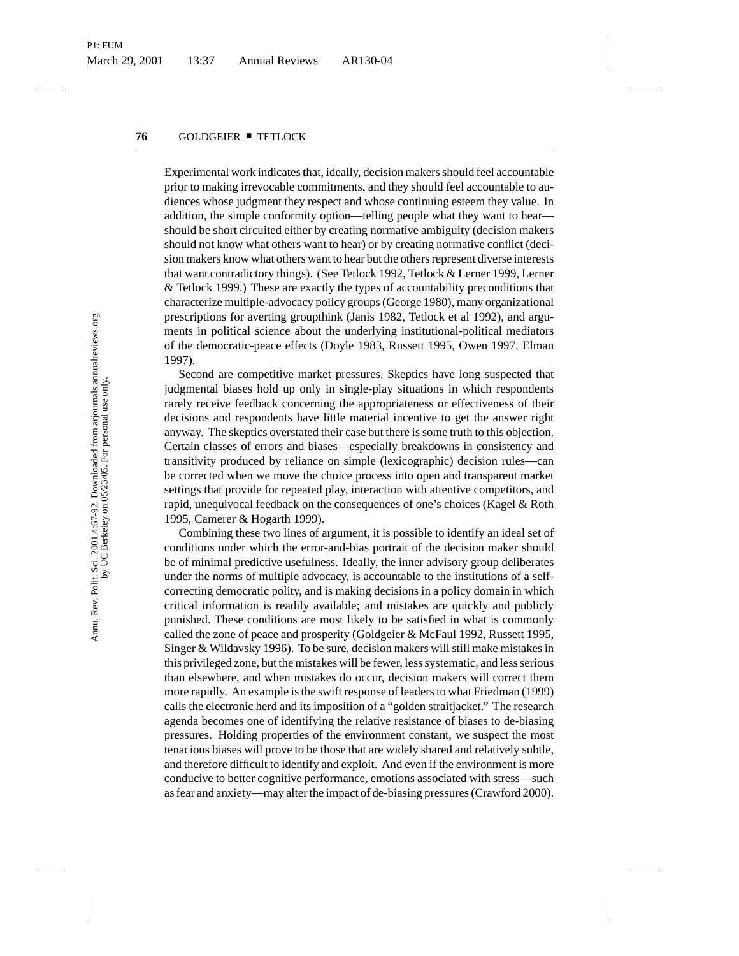Experimental work indicates that, ideally, decision makers should feel accountable prior to making irrevocable commitments, and they should feel accountable to audiences whose judgment they respect and whose continuing esteem they value. In addition, the simple conformity option—telling people what they want to hear should be short circuited either by creating normative ambiguity (decision makers should not know what others want to hear) or by creating normative conflict (decision makers know what others want to hear but the others represent diverse interests that want contradictory things). (See Tetlock 1992, Tetlock & Lerner 1999, Lerner & Tetlock 1999.) These are exactly the types of accountability preconditions that characterize multiple-advocacy policy groups (George 1980), many organizational prescriptions for averting groupthink (Janis 1982, Tetlock et al 1992), and arguments in political science about the underlying institutional-political mediators of the democratic-peace effects (Doyle 1983, Russett 1995, Owen 1997, Elman 1997).

Second are competitive market pressures. Skeptics have long suspected that judgmental biases hold up only in single-play situations in which respondents rarely receive feedback concerning the appropriateness or effectiveness of their decisions and respondents have little material incentive to get the answer right anyway. The skeptics overstated their case but there is some truth to this objection. Certain classes of errors and biases—especially breakdowns in consistency and transitivity produced by reliance on simple (lexicographic) decision rules—can be corrected when we move the choice process into open and transparent market settings that provide for repeated play, interaction with attentive competitors, and rapid, unequivocal feedback on the consequences of one's choices (Kagel & Roth 1995, Camerer & Hogarth 1999).

Combining these two lines of argument, it is possible to identify an ideal set of conditions under which the error-and-bias portrait of the decision maker should be of minimal predictive usefulness. Ideally, the inner advisory group deliberates under the norms of multiple advocacy, is accountable to the institutions of a selfcorrecting democratic polity, and is making decisions in a policy domain in which critical information is readily available; and mistakes are quickly and publicly punished. These conditions are most likely to be satisfied in what is commonly called the zone of peace and prosperity (Goldgeier & McFaul 1992, Russett 1995, Singer & Wildavsky 1996). To be sure, decision makers will still make mistakes in this privileged zone, but the mistakes will be fewer, less systematic, and less serious than elsewhere, and when mistakes do occur, decision makers will correct them more rapidly. An example is the swift response of leaders to what Friedman (1999) calls the electronic herd and its imposition of a "golden straitjacket." The research agenda becomes one of identifying the relative resistance of biases to de-biasing pressures. Holding properties of the environment constant, we suspect the most tenacious biases will prove to be those that are widely shared and relatively subtle, and therefore difficult to identify and exploit. And even if the environment is more conducive to better cognitive performance, emotions associated with stress—such as fear and anxiety—may alter the impact of de-biasing pressures (Crawford 2000).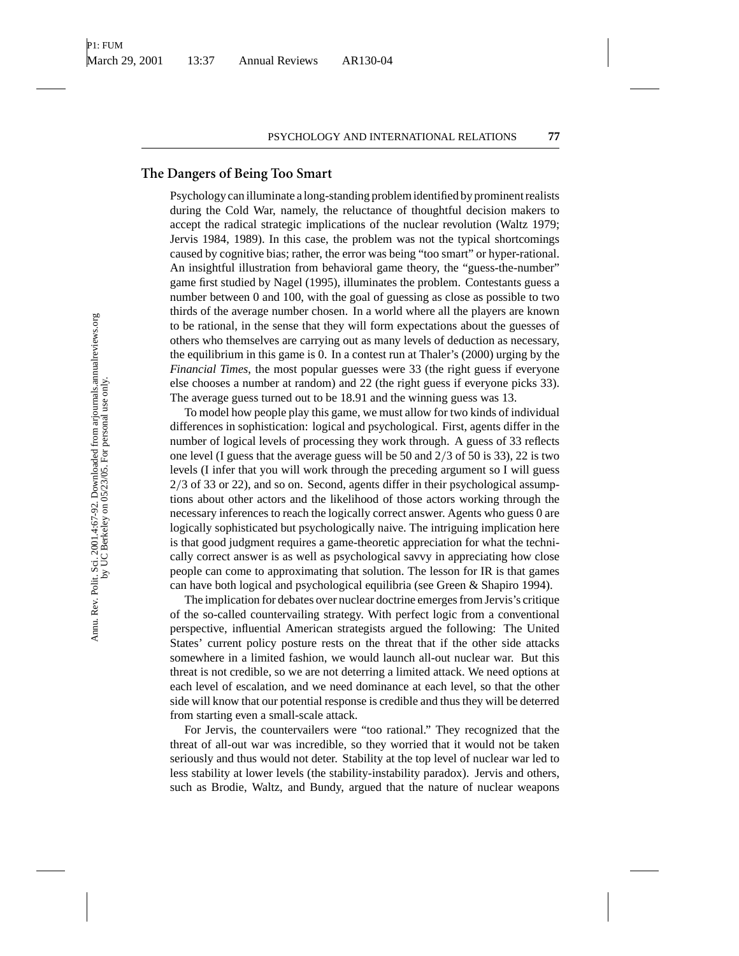## **The Dangers of Being Too Smart**

Psychology can illuminate a long-standing problem identified by prominent realists during the Cold War, namely, the reluctance of thoughtful decision makers to accept the radical strategic implications of the nuclear revolution (Waltz 1979; Jervis 1984, 1989). In this case, the problem was not the typical shortcomings caused by cognitive bias; rather, the error was being "too smart" or hyper-rational. An insightful illustration from behavioral game theory, the "guess-the-number" game first studied by Nagel (1995), illuminates the problem. Contestants guess a number between 0 and 100, with the goal of guessing as close as possible to two thirds of the average number chosen. In a world where all the players are known to be rational, in the sense that they will form expectations about the guesses of others who themselves are carrying out as many levels of deduction as necessary, the equilibrium in this game is 0. In a contest run at Thaler's (2000) urging by the *Financial Times*, the most popular guesses were 33 (the right guess if everyone else chooses a number at random) and 22 (the right guess if everyone picks 33). The average guess turned out to be 18.91 and the winning guess was 13.

To model how people play this game, we must allow for two kinds of individual differences in sophistication: logical and psychological. First, agents differ in the number of logical levels of processing they work through. A guess of 33 reflects one level (I guess that the average guess will be 50 and  $2/3$  of 50 is 33), 22 is two levels (I infer that you will work through the preceding argument so I will guess 2/3 of 33 or 22), and so on. Second, agents differ in their psychological assumptions about other actors and the likelihood of those actors working through the necessary inferences to reach the logically correct answer. Agents who guess 0 are logically sophisticated but psychologically naive. The intriguing implication here is that good judgment requires a game-theoretic appreciation for what the technically correct answer is as well as psychological savvy in appreciating how close people can come to approximating that solution. The lesson for IR is that games can have both logical and psychological equilibria (see Green & Shapiro 1994).

The implication for debates over nuclear doctrine emerges from Jervis's critique of the so-called countervailing strategy. With perfect logic from a conventional perspective, influential American strategists argued the following: The United States' current policy posture rests on the threat that if the other side attacks somewhere in a limited fashion, we would launch all-out nuclear war. But this threat is not credible, so we are not deterring a limited attack. We need options at each level of escalation, and we need dominance at each level, so that the other side will know that our potential response is credible and thus they will be deterred from starting even a small-scale attack.

For Jervis, the countervailers were "too rational." They recognized that the threat of all-out war was incredible, so they worried that it would not be taken seriously and thus would not deter. Stability at the top level of nuclear war led to less stability at lower levels (the stability-instability paradox). Jervis and others, such as Brodie, Waltz, and Bundy, argued that the nature of nuclear weapons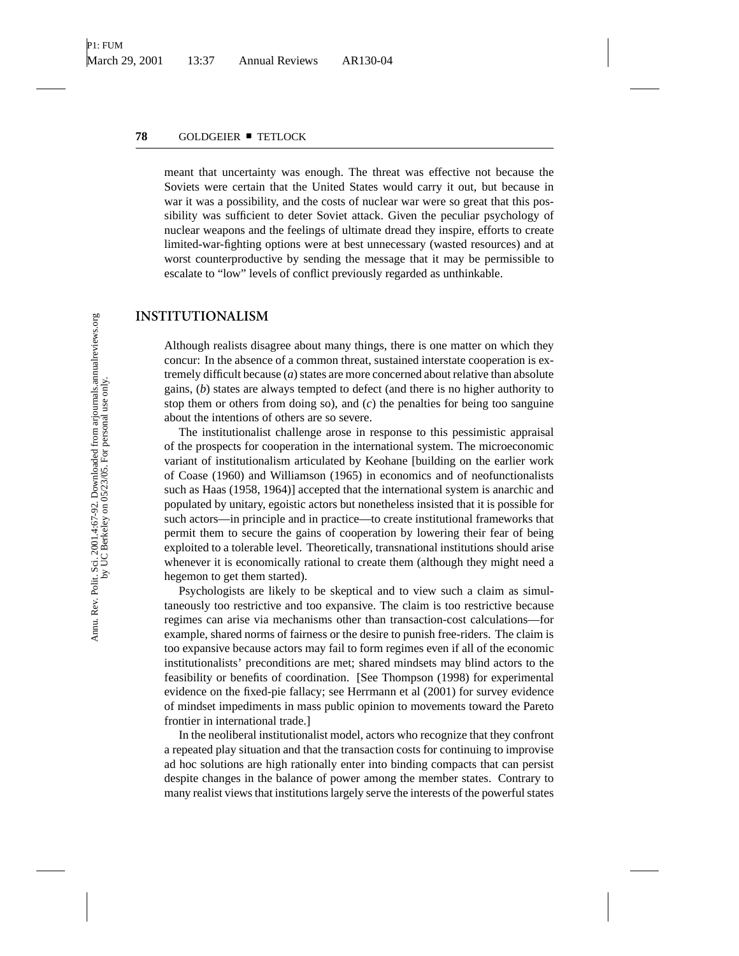meant that uncertainty was enough. The threat was effective not because the Soviets were certain that the United States would carry it out, but because in war it was a possibility, and the costs of nuclear war were so great that this possibility was sufficient to deter Soviet attack. Given the peculiar psychology of nuclear weapons and the feelings of ultimate dread they inspire, efforts to create limited-war-fighting options were at best unnecessary (wasted resources) and at worst counterproductive by sending the message that it may be permissible to escalate to "low" levels of conflict previously regarded as unthinkable.

## **INSTITUTIONALISM**

Although realists disagree about many things, there is one matter on which they concur: In the absence of a common threat, sustained interstate cooperation is extremely difficult because (*a*) states are more concerned about relative than absolute gains, (*b*) states are always tempted to defect (and there is no higher authority to stop them or others from doing so), and  $(c)$  the penalties for being too sanguine about the intentions of others are so severe.

The institutionalist challenge arose in response to this pessimistic appraisal of the prospects for cooperation in the international system. The microeconomic variant of institutionalism articulated by Keohane [building on the earlier work of Coase (1960) and Williamson (1965) in economics and of neofunctionalists such as Haas (1958, 1964)] accepted that the international system is anarchic and populated by unitary, egoistic actors but nonetheless insisted that it is possible for such actors—in principle and in practice—to create institutional frameworks that permit them to secure the gains of cooperation by lowering their fear of being exploited to a tolerable level. Theoretically, transnational institutions should arise whenever it is economically rational to create them (although they might need a hegemon to get them started).

Psychologists are likely to be skeptical and to view such a claim as simultaneously too restrictive and too expansive. The claim is too restrictive because regimes can arise via mechanisms other than transaction-cost calculations—for example, shared norms of fairness or the desire to punish free-riders. The claim is too expansive because actors may fail to form regimes even if all of the economic institutionalists' preconditions are met; shared mindsets may blind actors to the feasibility or benefits of coordination. [See Thompson (1998) for experimental evidence on the fixed-pie fallacy; see Herrmann et al (2001) for survey evidence of mindset impediments in mass public opinion to movements toward the Pareto frontier in international trade.]

In the neoliberal institutionalist model, actors who recognize that they confront a repeated play situation and that the transaction costs for continuing to improvise ad hoc solutions are high rationally enter into binding compacts that can persist despite changes in the balance of power among the member states. Contrary to many realist views that institutions largely serve the interests of the powerful states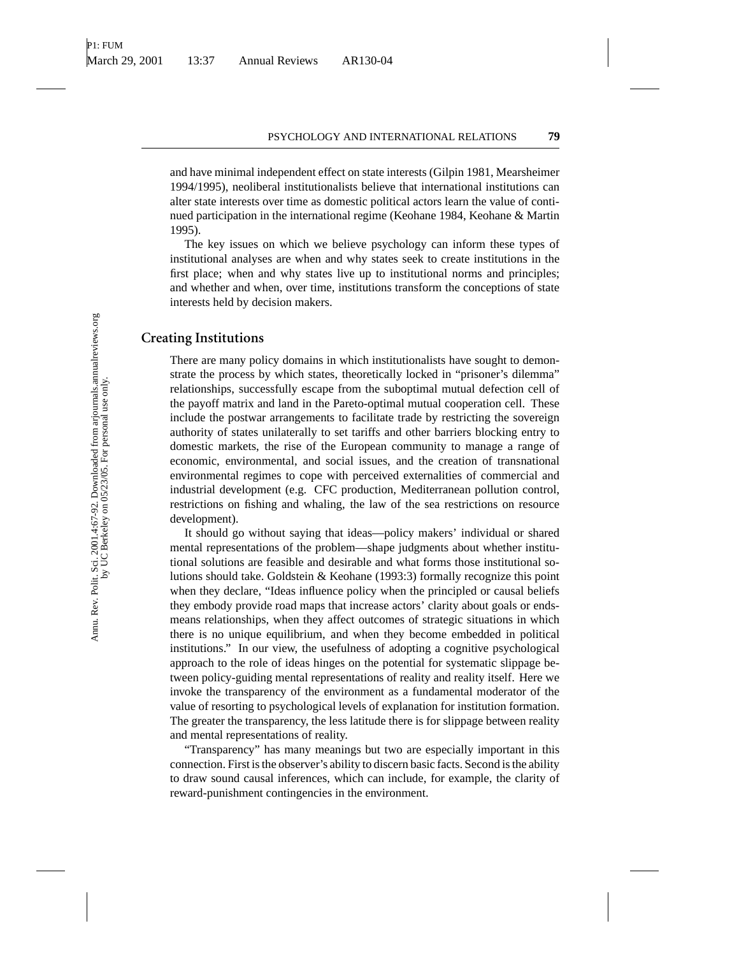and have minimal independent effect on state interests (Gilpin 1981, Mearsheimer 1994/1995), neoliberal institutionalists believe that international institutions can alter state interests over time as domestic political actors learn the value of continued participation in the international regime (Keohane 1984, Keohane & Martin 1995).

The key issues on which we believe psychology can inform these types of institutional analyses are when and why states seek to create institutions in the first place; when and why states live up to institutional norms and principles; and whether and when, over time, institutions transform the conceptions of state interests held by decision makers.

## **Creating Institutions**

There are many policy domains in which institutionalists have sought to demonstrate the process by which states, theoretically locked in "prisoner's dilemma" relationships, successfully escape from the suboptimal mutual defection cell of the payoff matrix and land in the Pareto-optimal mutual cooperation cell. These include the postwar arrangements to facilitate trade by restricting the sovereign authority of states unilaterally to set tariffs and other barriers blocking entry to domestic markets, the rise of the European community to manage a range of economic, environmental, and social issues, and the creation of transnational environmental regimes to cope with perceived externalities of commercial and industrial development (e.g. CFC production, Mediterranean pollution control, restrictions on fishing and whaling, the law of the sea restrictions on resource development).

It should go without saying that ideas—policy makers' individual or shared mental representations of the problem—shape judgments about whether institutional solutions are feasible and desirable and what forms those institutional solutions should take. Goldstein & Keohane (1993:3) formally recognize this point when they declare, "Ideas influence policy when the principled or causal beliefs they embody provide road maps that increase actors' clarity about goals or endsmeans relationships, when they affect outcomes of strategic situations in which there is no unique equilibrium, and when they become embedded in political institutions." In our view, the usefulness of adopting a cognitive psychological approach to the role of ideas hinges on the potential for systematic slippage between policy-guiding mental representations of reality and reality itself. Here we invoke the transparency of the environment as a fundamental moderator of the value of resorting to psychological levels of explanation for institution formation. The greater the transparency, the less latitude there is for slippage between reality and mental representations of reality.

"Transparency" has many meanings but two are especially important in this connection. First is the observer's ability to discern basic facts. Second is the ability to draw sound causal inferences, which can include, for example, the clarity of reward-punishment contingencies in the environment.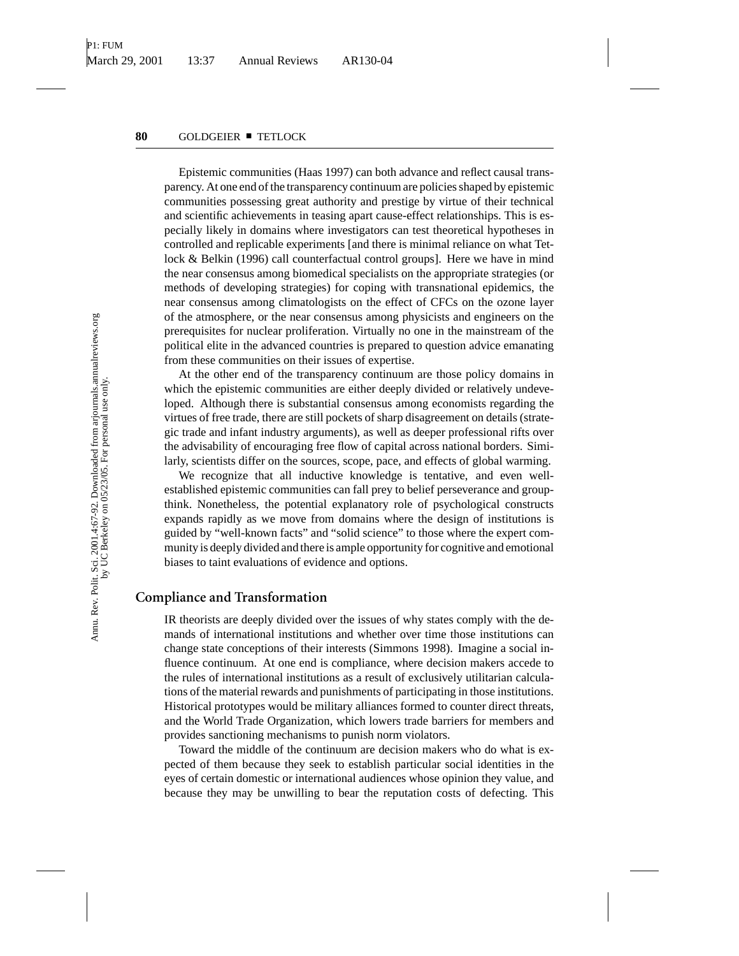Epistemic communities (Haas 1997) can both advance and reflect causal transparency. At one end of the transparency continuum are policies shaped by epistemic communities possessing great authority and prestige by virtue of their technical and scientific achievements in teasing apart cause-effect relationships. This is especially likely in domains where investigators can test theoretical hypotheses in controlled and replicable experiments [and there is minimal reliance on what Tetlock & Belkin (1996) call counterfactual control groups]. Here we have in mind the near consensus among biomedical specialists on the appropriate strategies (or methods of developing strategies) for coping with transnational epidemics, the near consensus among climatologists on the effect of CFCs on the ozone layer of the atmosphere, or the near consensus among physicists and engineers on the prerequisites for nuclear proliferation. Virtually no one in the mainstream of the political elite in the advanced countries is prepared to question advice emanating from these communities on their issues of expertise.

At the other end of the transparency continuum are those policy domains in which the epistemic communities are either deeply divided or relatively undeveloped. Although there is substantial consensus among economists regarding the virtues of free trade, there are still pockets of sharp disagreement on details (strategic trade and infant industry arguments), as well as deeper professional rifts over the advisability of encouraging free flow of capital across national borders. Similarly, scientists differ on the sources, scope, pace, and effects of global warming.

We recognize that all inductive knowledge is tentative, and even wellestablished epistemic communities can fall prey to belief perseverance and groupthink. Nonetheless, the potential explanatory role of psychological constructs expands rapidly as we move from domains where the design of institutions is guided by "well-known facts" and "solid science" to those where the expert community is deeply divided and there is ample opportunity for cognitive and emotional biases to taint evaluations of evidence and options.

### **Compliance and Transformation**

IR theorists are deeply divided over the issues of why states comply with the demands of international institutions and whether over time those institutions can change state conceptions of their interests (Simmons 1998). Imagine a social influence continuum. At one end is compliance, where decision makers accede to the rules of international institutions as a result of exclusively utilitarian calculations of the material rewards and punishments of participating in those institutions. Historical prototypes would be military alliances formed to counter direct threats, and the World Trade Organization, which lowers trade barriers for members and provides sanctioning mechanisms to punish norm violators.

Toward the middle of the continuum are decision makers who do what is expected of them because they seek to establish particular social identities in the eyes of certain domestic or international audiences whose opinion they value, and because they may be unwilling to bear the reputation costs of defecting. This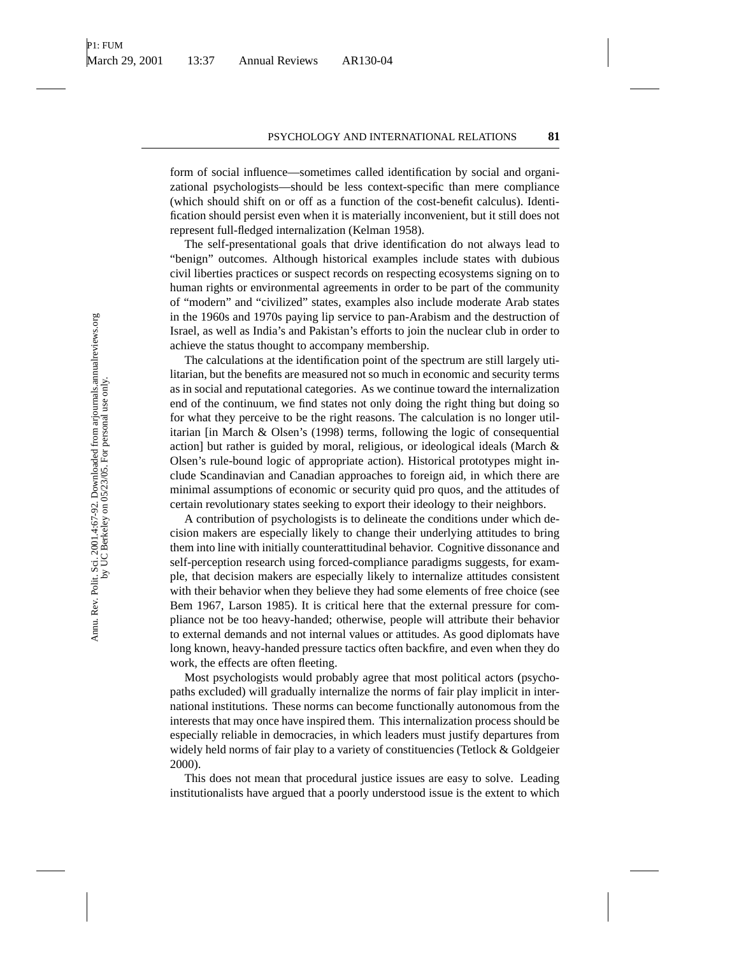form of social influence—sometimes called identification by social and organizational psychologists—should be less context-specific than mere compliance (which should shift on or off as a function of the cost-benefit calculus). Identification should persist even when it is materially inconvenient, but it still does not represent full-fledged internalization (Kelman 1958).

The self-presentational goals that drive identification do not always lead to "benign" outcomes. Although historical examples include states with dubious civil liberties practices or suspect records on respecting ecosystems signing on to human rights or environmental agreements in order to be part of the community of "modern" and "civilized" states, examples also include moderate Arab states in the 1960s and 1970s paying lip service to pan-Arabism and the destruction of Israel, as well as India's and Pakistan's efforts to join the nuclear club in order to achieve the status thought to accompany membership.

The calculations at the identification point of the spectrum are still largely utilitarian, but the benefits are measured not so much in economic and security terms as in social and reputational categories. As we continue toward the internalization end of the continuum, we find states not only doing the right thing but doing so for what they perceive to be the right reasons. The calculation is no longer utilitarian [in March & Olsen's (1998) terms, following the logic of consequential action] but rather is guided by moral, religious, or ideological ideals (March & Olsen's rule-bound logic of appropriate action). Historical prototypes might include Scandinavian and Canadian approaches to foreign aid, in which there are minimal assumptions of economic or security quid pro quos, and the attitudes of certain revolutionary states seeking to export their ideology to their neighbors.

A contribution of psychologists is to delineate the conditions under which decision makers are especially likely to change their underlying attitudes to bring them into line with initially counterattitudinal behavior. Cognitive dissonance and self-perception research using forced-compliance paradigms suggests, for example, that decision makers are especially likely to internalize attitudes consistent with their behavior when they believe they had some elements of free choice (see Bem 1967, Larson 1985). It is critical here that the external pressure for compliance not be too heavy-handed; otherwise, people will attribute their behavior to external demands and not internal values or attitudes. As good diplomats have long known, heavy-handed pressure tactics often backfire, and even when they do work, the effects are often fleeting.

Most psychologists would probably agree that most political actors (psychopaths excluded) will gradually internalize the norms of fair play implicit in international institutions. These norms can become functionally autonomous from the interests that may once have inspired them. This internalization process should be especially reliable in democracies, in which leaders must justify departures from widely held norms of fair play to a variety of constituencies (Tetlock & Goldgeier 2000).

This does not mean that procedural justice issues are easy to solve. Leading institutionalists have argued that a poorly understood issue is the extent to which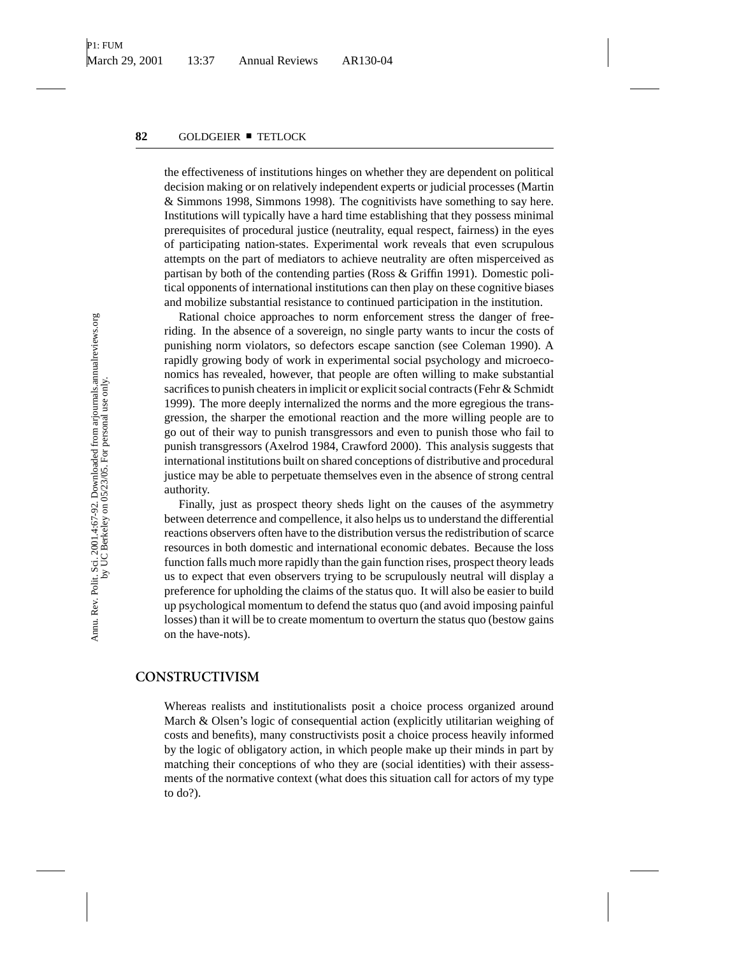the effectiveness of institutions hinges on whether they are dependent on political decision making or on relatively independent experts or judicial processes (Martin & Simmons 1998, Simmons 1998). The cognitivists have something to say here. Institutions will typically have a hard time establishing that they possess minimal prerequisites of procedural justice (neutrality, equal respect, fairness) in the eyes of participating nation-states. Experimental work reveals that even scrupulous attempts on the part of mediators to achieve neutrality are often misperceived as partisan by both of the contending parties (Ross & Griffin 1991). Domestic political opponents of international institutions can then play on these cognitive biases and mobilize substantial resistance to continued participation in the institution.

Rational choice approaches to norm enforcement stress the danger of freeriding. In the absence of a sovereign, no single party wants to incur the costs of punishing norm violators, so defectors escape sanction (see Coleman 1990). A rapidly growing body of work in experimental social psychology and microeconomics has revealed, however, that people are often willing to make substantial sacrifices to punish cheaters in implicit or explicit social contracts (Fehr & Schmidt 1999). The more deeply internalized the norms and the more egregious the transgression, the sharper the emotional reaction and the more willing people are to go out of their way to punish transgressors and even to punish those who fail to punish transgressors (Axelrod 1984, Crawford 2000). This analysis suggests that international institutions built on shared conceptions of distributive and procedural justice may be able to perpetuate themselves even in the absence of strong central authority.

Finally, just as prospect theory sheds light on the causes of the asymmetry between deterrence and compellence, it also helps us to understand the differential reactions observers often have to the distribution versus the redistribution of scarce resources in both domestic and international economic debates. Because the loss function falls much more rapidly than the gain function rises, prospect theory leads us to expect that even observers trying to be scrupulously neutral will display a preference for upholding the claims of the status quo. It will also be easier to build up psychological momentum to defend the status quo (and avoid imposing painful losses) than it will be to create momentum to overturn the status quo (bestow gains on the have-nots).

## **CONSTRUCTIVISM**

Whereas realists and institutionalists posit a choice process organized around March & Olsen's logic of consequential action (explicitly utilitarian weighing of costs and benefits), many constructivists posit a choice process heavily informed by the logic of obligatory action, in which people make up their minds in part by matching their conceptions of who they are (social identities) with their assessments of the normative context (what does this situation call for actors of my type to do?).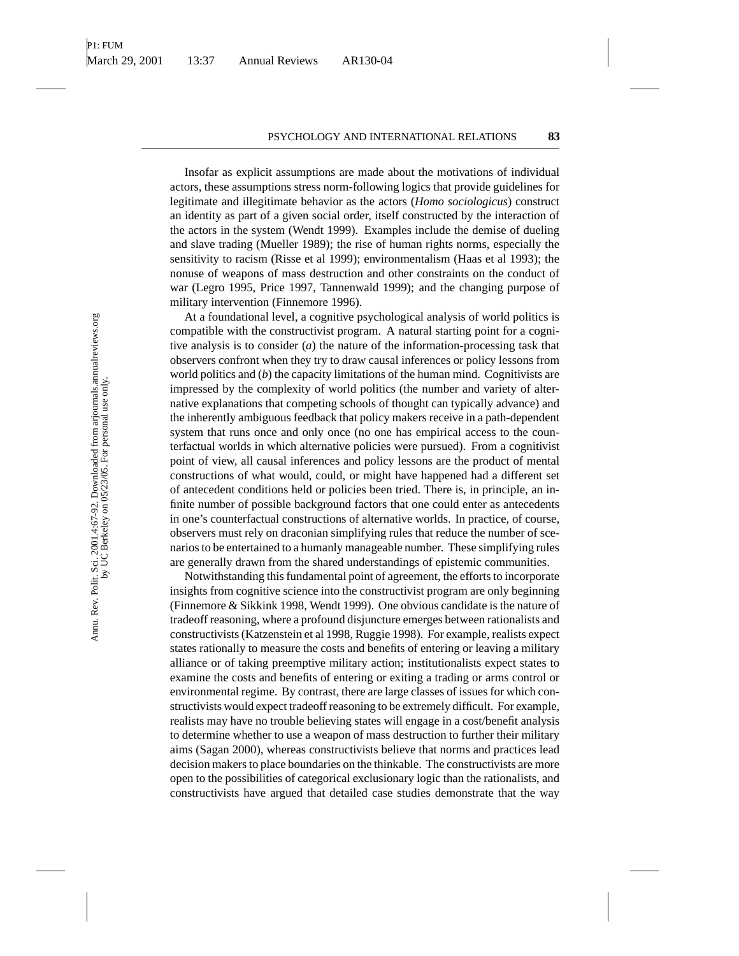Insofar as explicit assumptions are made about the motivations of individual actors, these assumptions stress norm-following logics that provide guidelines for legitimate and illegitimate behavior as the actors (*Homo sociologicus*) construct an identity as part of a given social order, itself constructed by the interaction of the actors in the system (Wendt 1999). Examples include the demise of dueling and slave trading (Mueller 1989); the rise of human rights norms, especially the sensitivity to racism (Risse et al 1999); environmentalism (Haas et al 1993); the nonuse of weapons of mass destruction and other constraints on the conduct of war (Legro 1995, Price 1997, Tannenwald 1999); and the changing purpose of military intervention (Finnemore 1996).

At a foundational level, a cognitive psychological analysis of world politics is compatible with the constructivist program. A natural starting point for a cognitive analysis is to consider  $(a)$  the nature of the information-processing task that observers confront when they try to draw causal inferences or policy lessons from world politics and (*b*) the capacity limitations of the human mind. Cognitivists are impressed by the complexity of world politics (the number and variety of alternative explanations that competing schools of thought can typically advance) and the inherently ambiguous feedback that policy makers receive in a path-dependent system that runs once and only once (no one has empirical access to the counterfactual worlds in which alternative policies were pursued). From a cognitivist point of view, all causal inferences and policy lessons are the product of mental constructions of what would, could, or might have happened had a different set of antecedent conditions held or policies been tried. There is, in principle, an infinite number of possible background factors that one could enter as antecedents in one's counterfactual constructions of alternative worlds. In practice, of course, observers must rely on draconian simplifying rules that reduce the number of scenarios to be entertained to a humanly manageable number. These simplifying rules are generally drawn from the shared understandings of epistemic communities.

Notwithstanding this fundamental point of agreement, the efforts to incorporate insights from cognitive science into the constructivist program are only beginning (Finnemore & Sikkink 1998, Wendt 1999). One obvious candidate is the nature of tradeoff reasoning, where a profound disjuncture emerges between rationalists and constructivists (Katzenstein et al 1998, Ruggie 1998). For example, realists expect states rationally to measure the costs and benefits of entering or leaving a military alliance or of taking preemptive military action; institutionalists expect states to examine the costs and benefits of entering or exiting a trading or arms control or environmental regime. By contrast, there are large classes of issues for which constructivists would expect tradeoff reasoning to be extremely difficult. For example, realists may have no trouble believing states will engage in a cost/benefit analysis to determine whether to use a weapon of mass destruction to further their military aims (Sagan 2000), whereas constructivists believe that norms and practices lead decision makers to place boundaries on the thinkable. The constructivists are more open to the possibilities of categorical exclusionary logic than the rationalists, and constructivists have argued that detailed case studies demonstrate that the way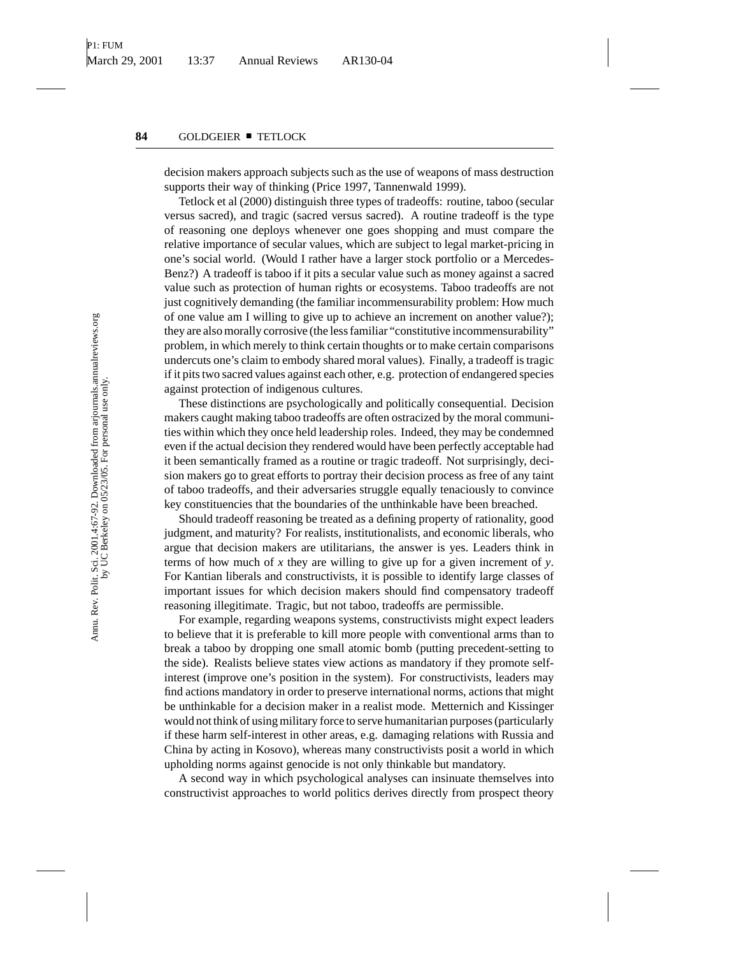decision makers approach subjects such as the use of weapons of mass destruction supports their way of thinking (Price 1997, Tannenwald 1999).

Tetlock et al (2000) distinguish three types of tradeoffs: routine, taboo (secular versus sacred), and tragic (sacred versus sacred). A routine tradeoff is the type of reasoning one deploys whenever one goes shopping and must compare the relative importance of secular values, which are subject to legal market-pricing in one's social world. (Would I rather have a larger stock portfolio or a Mercedes-Benz?) A tradeoff is taboo if it pits a secular value such as money against a sacred value such as protection of human rights or ecosystems. Taboo tradeoffs are not just cognitively demanding (the familiar incommensurability problem: How much of one value am I willing to give up to achieve an increment on another value?); they are also morally corrosive (the less familiar "constitutive incommensurability" problem, in which merely to think certain thoughts or to make certain comparisons undercuts one's claim to embody shared moral values). Finally, a tradeoff is tragic if it pits two sacred values against each other, e.g. protection of endangered species against protection of indigenous cultures.

These distinctions are psychologically and politically consequential. Decision makers caught making taboo tradeoffs are often ostracized by the moral communities within which they once held leadership roles. Indeed, they may be condemned even if the actual decision they rendered would have been perfectly acceptable had it been semantically framed as a routine or tragic tradeoff. Not surprisingly, decision makers go to great efforts to portray their decision process as free of any taint of taboo tradeoffs, and their adversaries struggle equally tenaciously to convince key constituencies that the boundaries of the unthinkable have been breached.

Should tradeoff reasoning be treated as a defining property of rationality, good judgment, and maturity? For realists, institutionalists, and economic liberals, who argue that decision makers are utilitarians, the answer is yes. Leaders think in terms of how much of *x* they are willing to give up for a given increment of *y*. For Kantian liberals and constructivists, it is possible to identify large classes of important issues for which decision makers should find compensatory tradeoff reasoning illegitimate. Tragic, but not taboo, tradeoffs are permissible.

For example, regarding weapons systems, constructivists might expect leaders to believe that it is preferable to kill more people with conventional arms than to break a taboo by dropping one small atomic bomb (putting precedent-setting to the side). Realists believe states view actions as mandatory if they promote selfinterest (improve one's position in the system). For constructivists, leaders may find actions mandatory in order to preserve international norms, actions that might be unthinkable for a decision maker in a realist mode. Metternich and Kissinger would not think of using military force to serve humanitarian purposes (particularly if these harm self-interest in other areas, e.g. damaging relations with Russia and China by acting in Kosovo), whereas many constructivists posit a world in which upholding norms against genocide is not only thinkable but mandatory.

A second way in which psychological analyses can insinuate themselves into constructivist approaches to world politics derives directly from prospect theory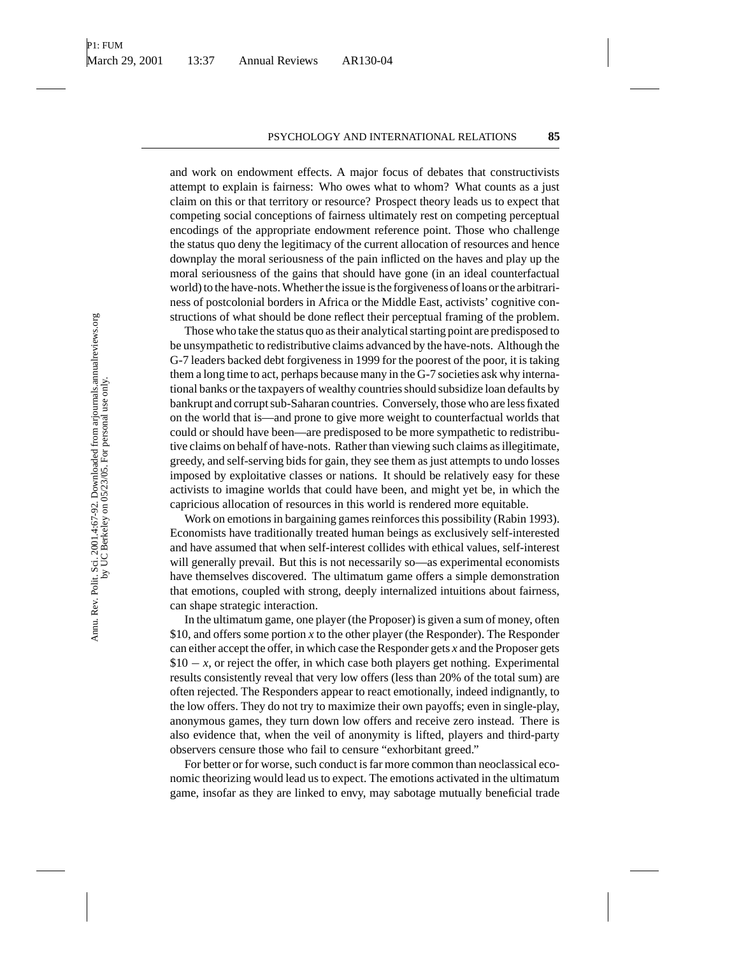and work on endowment effects. A major focus of debates that constructivists attempt to explain is fairness: Who owes what to whom? What counts as a just claim on this or that territory or resource? Prospect theory leads us to expect that competing social conceptions of fairness ultimately rest on competing perceptual encodings of the appropriate endowment reference point. Those who challenge the status quo deny the legitimacy of the current allocation of resources and hence downplay the moral seriousness of the pain inflicted on the haves and play up the moral seriousness of the gains that should have gone (in an ideal counterfactual world) to the have-nots. Whether the issue is the forgiveness of loans or the arbitrariness of postcolonial borders in Africa or the Middle East, activists' cognitive constructions of what should be done reflect their perceptual framing of the problem.

Those who take the status quo as their analytical starting point are predisposed to be unsympathetic to redistributive claims advanced by the have-nots. Although the G-7 leaders backed debt forgiveness in 1999 for the poorest of the poor, it is taking them a long time to act, perhaps because many in the G-7 societies ask why international banks or the taxpayers of wealthy countries should subsidize loan defaults by bankrupt and corrupt sub-Saharan countries. Conversely, those who are less fixated on the world that is—and prone to give more weight to counterfactual worlds that could or should have been—are predisposed to be more sympathetic to redistributive claims on behalf of have-nots. Rather than viewing such claims as illegitimate, greedy, and self-serving bids for gain, they see them as just attempts to undo losses imposed by exploitative classes or nations. It should be relatively easy for these activists to imagine worlds that could have been, and might yet be, in which the capricious allocation of resources in this world is rendered more equitable.

Work on emotions in bargaining games reinforces this possibility (Rabin 1993). Economists have traditionally treated human beings as exclusively self-interested and have assumed that when self-interest collides with ethical values, self-interest will generally prevail. But this is not necessarily so—as experimental economists have themselves discovered. The ultimatum game offers a simple demonstration that emotions, coupled with strong, deeply internalized intuitions about fairness, can shape strategic interaction.

In the ultimatum game, one player (the Proposer) is given a sum of money, often \$10, and offers some portion *x* to the other player (the Responder). The Responder can either accept the offer, in which case the Responder gets *x* and the Proposer gets \$10 − *x*, or reject the offer, in which case both players get nothing. Experimental results consistently reveal that very low offers (less than 20% of the total sum) are often rejected. The Responders appear to react emotionally, indeed indignantly, to the low offers. They do not try to maximize their own payoffs; even in single-play, anonymous games, they turn down low offers and receive zero instead. There is also evidence that, when the veil of anonymity is lifted, players and third-party observers censure those who fail to censure "exhorbitant greed."

For better or for worse, such conduct is far more common than neoclassical economic theorizing would lead us to expect. The emotions activated in the ultimatum game, insofar as they are linked to envy, may sabotage mutually beneficial trade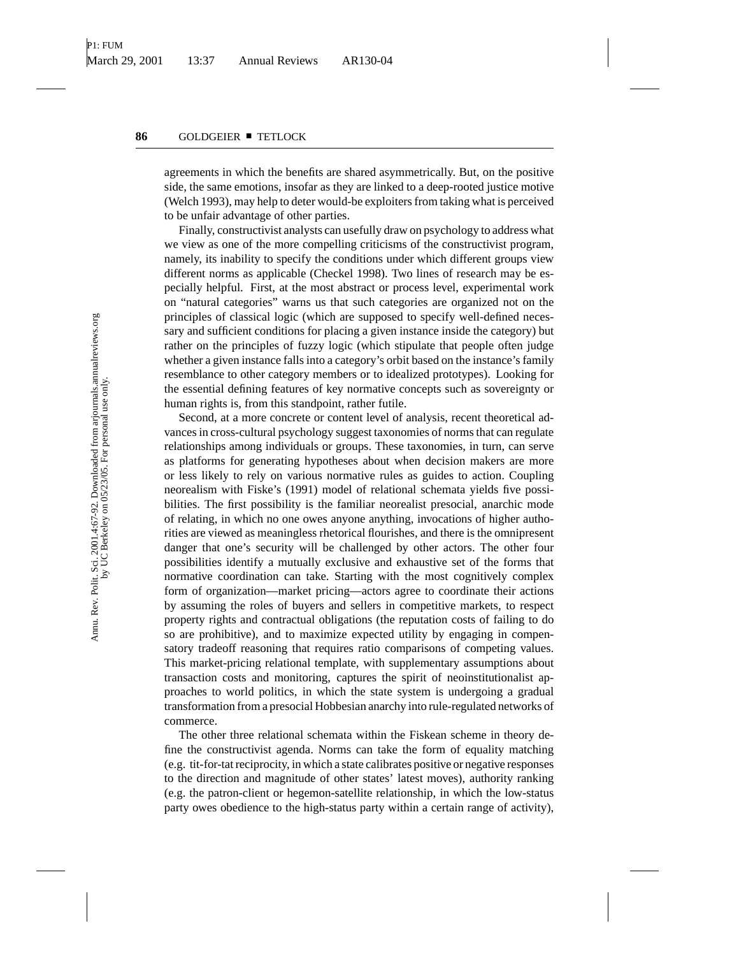agreements in which the benefits are shared asymmetrically. But, on the positive side, the same emotions, insofar as they are linked to a deep-rooted justice motive (Welch 1993), may help to deter would-be exploiters from taking what is perceived to be unfair advantage of other parties.

Finally, constructivist analysts can usefully draw on psychology to address what we view as one of the more compelling criticisms of the constructivist program, namely, its inability to specify the conditions under which different groups view different norms as applicable (Checkel 1998). Two lines of research may be especially helpful. First, at the most abstract or process level, experimental work on "natural categories" warns us that such categories are organized not on the principles of classical logic (which are supposed to specify well-defined necessary and sufficient conditions for placing a given instance inside the category) but rather on the principles of fuzzy logic (which stipulate that people often judge whether a given instance falls into a category's orbit based on the instance's family resemblance to other category members or to idealized prototypes). Looking for the essential defining features of key normative concepts such as sovereignty or human rights is, from this standpoint, rather futile.

Second, at a more concrete or content level of analysis, recent theoretical advances in cross-cultural psychology suggest taxonomies of norms that can regulate relationships among individuals or groups. These taxonomies, in turn, can serve as platforms for generating hypotheses about when decision makers are more or less likely to rely on various normative rules as guides to action. Coupling neorealism with Fiske's (1991) model of relational schemata yields five possibilities. The first possibility is the familiar neorealist presocial, anarchic mode of relating, in which no one owes anyone anything, invocations of higher authorities are viewed as meaningless rhetorical flourishes, and there is the omnipresent danger that one's security will be challenged by other actors. The other four possibilities identify a mutually exclusive and exhaustive set of the forms that normative coordination can take. Starting with the most cognitively complex form of organization—market pricing—actors agree to coordinate their actions by assuming the roles of buyers and sellers in competitive markets, to respect property rights and contractual obligations (the reputation costs of failing to do so are prohibitive), and to maximize expected utility by engaging in compensatory tradeoff reasoning that requires ratio comparisons of competing values. This market-pricing relational template, with supplementary assumptions about transaction costs and monitoring, captures the spirit of neoinstitutionalist approaches to world politics, in which the state system is undergoing a gradual transformation from a presocial Hobbesian anarchy into rule-regulated networks of commerce.

The other three relational schemata within the Fiskean scheme in theory define the constructivist agenda. Norms can take the form of equality matching (e.g. tit-for-tat reciprocity, in which a state calibrates positive or negative responses to the direction and magnitude of other states' latest moves), authority ranking (e.g. the patron-client or hegemon-satellite relationship, in which the low-status party owes obedience to the high-status party within a certain range of activity),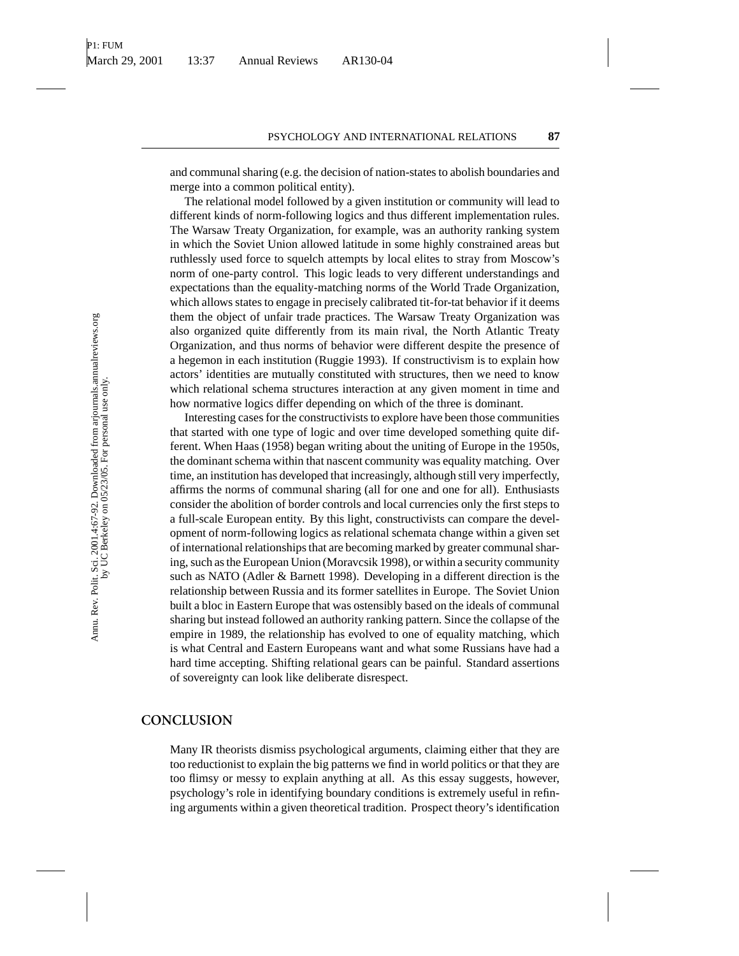and communal sharing (e.g. the decision of nation-states to abolish boundaries and merge into a common political entity).

The relational model followed by a given institution or community will lead to different kinds of norm-following logics and thus different implementation rules. The Warsaw Treaty Organization, for example, was an authority ranking system in which the Soviet Union allowed latitude in some highly constrained areas but ruthlessly used force to squelch attempts by local elites to stray from Moscow's norm of one-party control. This logic leads to very different understandings and expectations than the equality-matching norms of the World Trade Organization, which allows states to engage in precisely calibrated tit-for-tat behavior if it deems them the object of unfair trade practices. The Warsaw Treaty Organization was also organized quite differently from its main rival, the North Atlantic Treaty Organization, and thus norms of behavior were different despite the presence of a hegemon in each institution (Ruggie 1993). If constructivism is to explain how actors' identities are mutually constituted with structures, then we need to know which relational schema structures interaction at any given moment in time and how normative logics differ depending on which of the three is dominant.

Interesting cases for the constructivists to explore have been those communities that started with one type of logic and over time developed something quite different. When Haas (1958) began writing about the uniting of Europe in the 1950s, the dominant schema within that nascent community was equality matching. Over time, an institution has developed that increasingly, although still very imperfectly, affirms the norms of communal sharing (all for one and one for all). Enthusiasts consider the abolition of border controls and local currencies only the first steps to a full-scale European entity. By this light, constructivists can compare the development of norm-following logics as relational schemata change within a given set of international relationships that are becoming marked by greater communal sharing, such as the European Union (Moravcsik 1998), or within a security community such as NATO (Adler & Barnett 1998). Developing in a different direction is the relationship between Russia and its former satellites in Europe. The Soviet Union built a bloc in Eastern Europe that was ostensibly based on the ideals of communal sharing but instead followed an authority ranking pattern. Since the collapse of the empire in 1989, the relationship has evolved to one of equality matching, which is what Central and Eastern Europeans want and what some Russians have had a hard time accepting. Shifting relational gears can be painful. Standard assertions of sovereignty can look like deliberate disrespect.

## **CONCLUSION**

Many IR theorists dismiss psychological arguments, claiming either that they are too reductionist to explain the big patterns we find in world politics or that they are too flimsy or messy to explain anything at all. As this essay suggests, however, psychology's role in identifying boundary conditions is extremely useful in refining arguments within a given theoretical tradition. Prospect theory's identification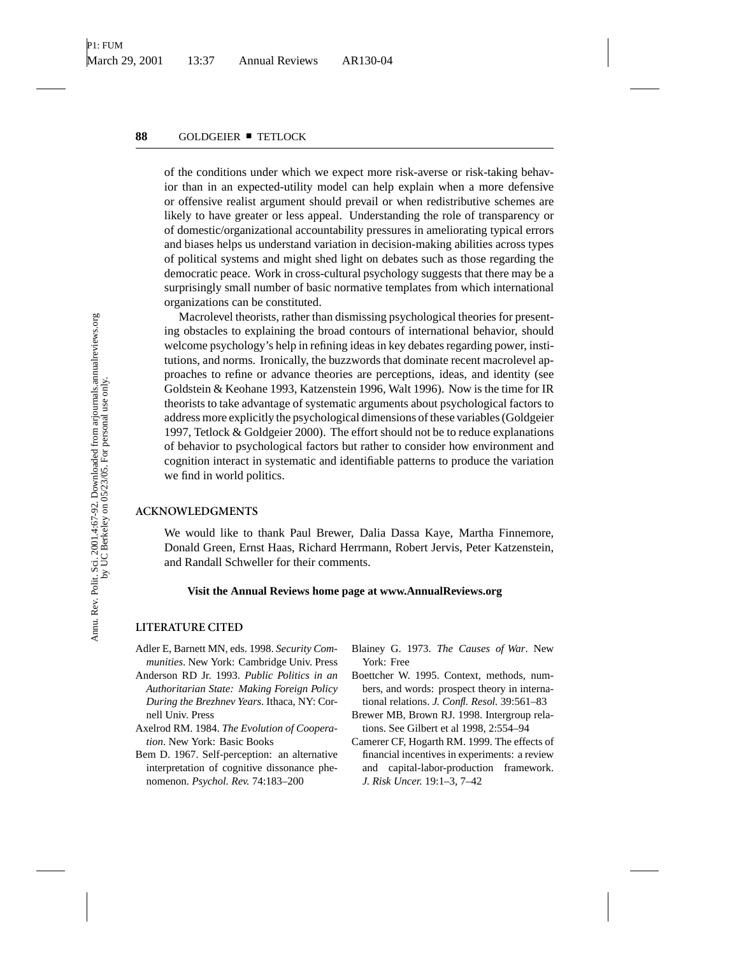of the conditions under which we expect more risk-averse or risk-taking behavior than in an expected-utility model can help explain when a more defensive or offensive realist argument should prevail or when redistributive schemes are likely to have greater or less appeal. Understanding the role of transparency or of domestic/organizational accountability pressures in ameliorating typical errors and biases helps us understand variation in decision-making abilities across types of political systems and might shed light on debates such as those regarding the democratic peace. Work in cross-cultural psychology suggests that there may be a surprisingly small number of basic normative templates from which international organizations can be constituted.

Macrolevel theorists, rather than dismissing psychological theories for presenting obstacles to explaining the broad contours of international behavior, should welcome psychology's help in refining ideas in key debates regarding power, institutions, and norms. Ironically, the buzzwords that dominate recent macrolevel approaches to refine or advance theories are perceptions, ideas, and identity (see Goldstein & Keohane 1993, Katzenstein 1996, Walt 1996). Now is the time for IR theorists to take advantage of systematic arguments about psychological factors to address more explicitly the psychological dimensions of these variables (Goldgeier 1997, Tetlock & Goldgeier 2000). The effort should not be to reduce explanations of behavior to psychological factors but rather to consider how environment and cognition interact in systematic and identifiable patterns to produce the variation we find in world politics.

#### **ACKNOWLEDGMENTS**

We would like to thank Paul Brewer, Dalia Dassa Kaye, Martha Finnemore, Donald Green, Ernst Haas, Richard Herrmann, Robert Jervis, Peter Katzenstein, and Randall Schweller for their comments.

#### **Visit the Annual Reviews home page at www.AnnualReviews.org**

#### **LITERATURE CITED**

- Adler E, Barnett MN, eds. 1998. *Security Communities*. New York: Cambridge Univ. Press
- Anderson RD Jr. 1993. *Public Politics in an Authoritarian State: Making Foreign Policy During the Brezhnev Years*. Ithaca, NY: Cornell Univ. Press
- Axelrod RM. 1984. *The Evolution of Cooperation*. New York: Basic Books
- Bem D. 1967. Self-perception: an alternative interpretation of cognitive dissonance phenomenon. *Psychol. Rev.* 74:183–200
- Blainey G. 1973. *The Causes of War*. New York: Free
- Boettcher W. 1995. Context, methods, numbers, and words: prospect theory in international relations. *J. Confl. Resol.* 39:561–83
- Brewer MB, Brown RJ. 1998. Intergroup relations. See Gilbert et al 1998, 2:554–94
- Camerer CF, Hogarth RM. 1999. The effects of financial incentives in experiments: a review and capital-labor-production framework. *J. Risk Uncer.* 19:1–3, 7–42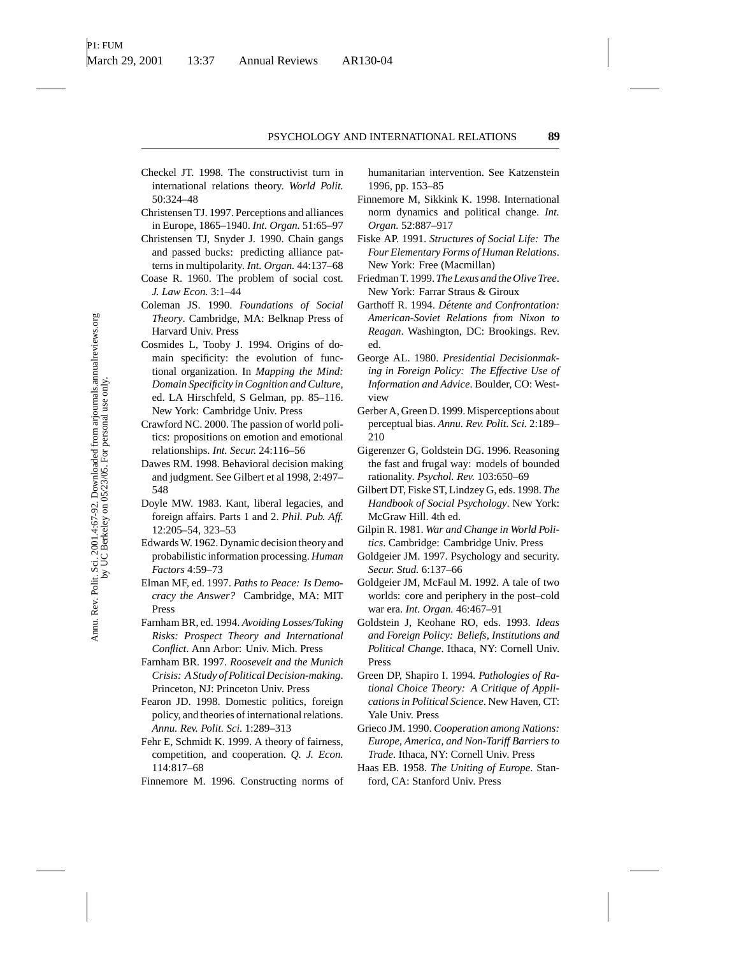- Checkel JT. 1998. The constructivist turn in international relations theory. *World Polit.* 50:324–48
- Christensen TJ. 1997. Perceptions and alliances in Europe, 1865–1940. *Int. Organ.* 51:65–97
- Christensen TJ, Snyder J. 1990. Chain gangs and passed bucks: predicting alliance patterns in multipolarity. *Int. Organ.* 44:137–68
- Coase R. 1960. The problem of social cost. *J. Law Econ.* 3:1–44
- Coleman JS. 1990. *Foundations of Social Theory*. Cambridge, MA: Belknap Press of Harvard Univ. Press
- Cosmides L, Tooby J. 1994. Origins of domain specificity: the evolution of functional organization. In *Mapping the Mind: Domain Specificity in Cognition and Culture*, ed. LA Hirschfeld, S Gelman, pp. 85–116. New York: Cambridge Univ. Press
- Crawford NC. 2000. The passion of world politics: propositions on emotion and emotional relationships. *Int. Secur.* 24:116–56
- Dawes RM. 1998. Behavioral decision making and judgment. See Gilbert et al 1998, 2:497– 548
- Doyle MW. 1983. Kant, liberal legacies, and foreign affairs. Parts 1 and 2. *Phil. Pub. Aff.* 12:205–54, 323–53
- Edwards W. 1962. Dynamic decision theory and probabilistic information processing. *Human Factors* 4:59–73
- Elman MF, ed. 1997. *Paths to Peace: Is Democracy the Answer?* Cambridge, MA: MIT Press
- Farnham BR, ed. 1994. *Avoiding Losses/Taking Risks: Prospect Theory and International Conflict*. Ann Arbor: Univ. Mich. Press
- Farnham BR. 1997. *Roosevelt and the Munich Crisis: A Study of Political Decision-making*. Princeton, NJ: Princeton Univ. Press
- Fearon JD. 1998. Domestic politics, foreign policy, and theories of international relations. *Annu. Rev. Polit. Sci.* 1:289–313
- Fehr E, Schmidt K. 1999. A theory of fairness, competition, and cooperation. *Q. J. Econ.* 114:817–68
- Finnemore M. 1996. Constructing norms of

humanitarian intervention. See Katzenstein 1996, pp. 153–85

- Finnemore M, Sikkink K. 1998. International norm dynamics and political change. *Int. Organ.* 52:887–917
- Fiske AP. 1991. *Structures of Social Life: The Four Elementary Forms of Human Relations*. New York: Free (Macmillan)
- Friedman T. 1999. *The Lexus and the Olive Tree*. New York: Farrar Straus & Giroux
- Garthoff R. 1994. *Detente and Confrontation: ´ American-Soviet Relations from Nixon to Reagan*. Washington, DC: Brookings. Rev. ed.
- George AL. 1980. *Presidential Decisionmaking in Foreign Policy: The Effective Use of Information and Advice*. Boulder, CO: Westview
- Gerber A, Green D. 1999. Misperceptions about perceptual bias. *Annu. Rev. Polit. Sci.* 2:189– 210
- Gigerenzer G, Goldstein DG. 1996. Reasoning the fast and frugal way: models of bounded rationality. *Psychol. Rev.* 103:650–69
- Gilbert DT, Fiske ST, Lindzey G, eds. 1998. *The Handbook of Social Psychology*. New York: McGraw Hill. 4th ed.
- Gilpin R. 1981. *War and Change in World Politics*. Cambridge: Cambridge Univ. Press
- Goldgeier JM. 1997. Psychology and security. *Secur. Stud.* 6:137–66
- Goldgeier JM, McFaul M. 1992. A tale of two worlds: core and periphery in the post–cold war era. *Int. Organ.* 46:467–91
- Goldstein J, Keohane RO, eds. 1993. *Ideas and Foreign Policy: Beliefs, Institutions and Political Change*. Ithaca, NY: Cornell Univ. Press
- Green DP, Shapiro I. 1994. *Pathologies of Rational Choice Theory: A Critique of Applications in Political Science*. New Haven, CT: Yale Univ. Press
- Grieco JM. 1990. *Cooperation among Nations: Europe, America, and Non-Tariff Barriers to Trade*. Ithaca, NY: Cornell Univ. Press
- Haas EB. 1958. *The Uniting of Europe*. Stanford, CA: Stanford Univ. Press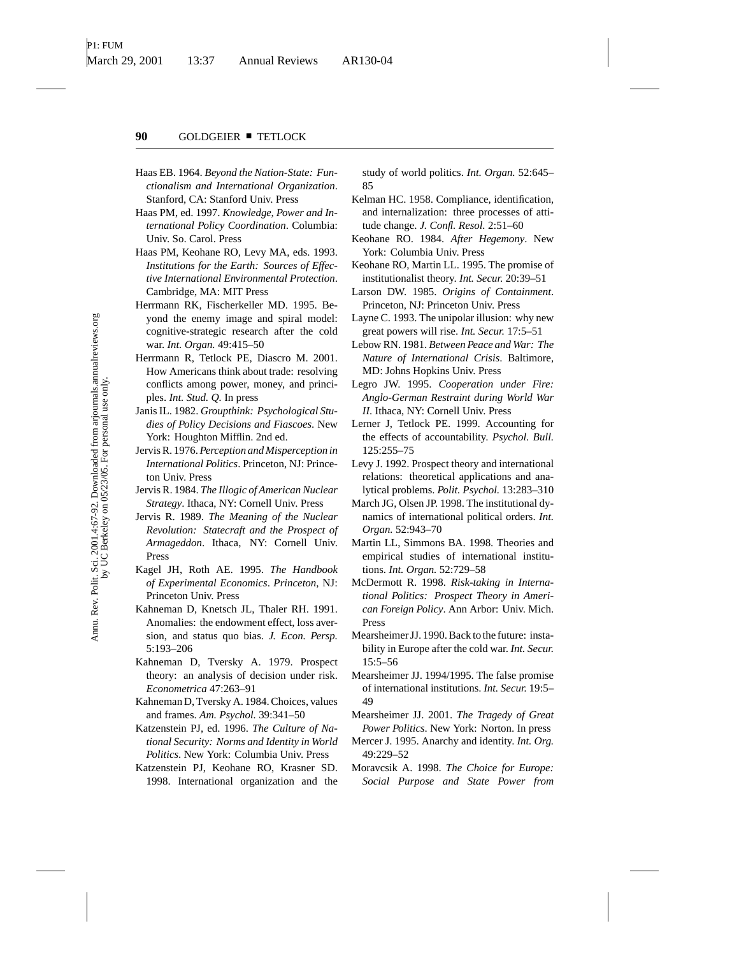- Haas EB. 1964. *Beyond the Nation-State: Functionalism and International Organization*. Stanford, CA: Stanford Univ. Press
- Haas PM, ed. 1997. *Knowledge, Power and International Policy Coordination*. Columbia: Univ. So. Carol. Press
- Haas PM, Keohane RO, Levy MA, eds. 1993. *Institutions for the Earth: Sources of Effective International Environmental Protection*. Cambridge, MA: MIT Press
- Herrmann RK, Fischerkeller MD. 1995. Beyond the enemy image and spiral model: cognitive-strategic research after the cold war. *Int. Organ.* 49:415–50
- Herrmann R, Tetlock PE, Diascro M. 2001. How Americans think about trade: resolving conflicts among power, money, and principles. *Int. Stud. Q.* In press
- Janis IL. 1982. *Groupthink: Psychological Studies of Policy Decisions and Fiascoes*. New York: Houghton Mifflin. 2nd ed.
- Jervis R. 1976.*Perception and Misperception in International Politics*. Princeton, NJ: Princeton Univ. Press
- Jervis R. 1984. *The Illogic of American Nuclear Strategy*. Ithaca, NY: Cornell Univ. Press
- Jervis R. 1989. *The Meaning of the Nuclear Revolution: Statecraft and the Prospect of Armageddon*. Ithaca, NY: Cornell Univ. Press
- Kagel JH, Roth AE. 1995. *The Handbook of Experimental Economics*. *Princeton*, NJ: Princeton Univ. Press
- Kahneman D, Knetsch JL, Thaler RH. 1991. Anomalies: the endowment effect, loss aversion, and status quo bias. *J. Econ. Persp.* 5:193–206
- Kahneman D, Tversky A. 1979. Prospect theory: an analysis of decision under risk. *Econometrica* 47:263–91
- Kahneman D, Tversky A. 1984. Choices, values and frames. *Am. Psychol.* 39:341–50
- Katzenstein PJ, ed. 1996. *The Culture of National Security: Norms and Identity in World Politics*. New York: Columbia Univ. Press
- Katzenstein PJ, Keohane RO, Krasner SD. 1998. International organization and the

study of world politics. *Int. Organ.* 52:645– 85

- Kelman HC. 1958. Compliance, identification, and internalization: three processes of attitude change. *J. Confl. Resol.* 2:51–60
- Keohane RO. 1984. *After Hegemony*. New York: Columbia Univ. Press
- Keohane RO, Martin LL. 1995. The promise of institutionalist theory. *Int. Secur.* 20:39–51
- Larson DW. 1985. *Origins of Containment*. Princeton, NJ: Princeton Univ. Press
- Layne C. 1993. The unipolar illusion: why new great powers will rise. *Int. Secur.* 17:5–51
- Lebow RN. 1981. *Between Peace and War: The Nature of International Crisis*. Baltimore, MD: Johns Hopkins Univ. Press
- Legro JW. 1995. *Cooperation under Fire: Anglo-German Restraint during World War II*. Ithaca, NY: Cornell Univ. Press
- Lerner J, Tetlock PE. 1999. Accounting for the effects of accountability. *Psychol. Bull.* 125:255–75
- Levy J. 1992. Prospect theory and international relations: theoretical applications and analytical problems. *Polit. Psychol.* 13:283–310
- March JG, Olsen JP. 1998. The institutional dynamics of international political orders. *Int. Organ.* 52:943–70
- Martin LL, Simmons BA. 1998. Theories and empirical studies of international institutions. *Int. Organ.* 52:729–58
- McDermott R. 1998. *Risk-taking in International Politics: Prospect Theory in American Foreign Policy*. Ann Arbor: Univ. Mich. Press
- Mearsheimer JJ. 1990. Back to the future: instability in Europe after the cold war. *Int. Secur.* 15:5–56
- Mearsheimer JJ. 1994/1995. The false promise of international institutions. *Int. Secur.* 19:5– 49
- Mearsheimer JJ. 2001. *The Tragedy of Great Power Politics*. New York: Norton. In press
- Mercer J. 1995. Anarchy and identity. *Int. Org.* 49:229–52
- Moravcsik A. 1998. *The Choice for Europe: Social Purpose and State Power from*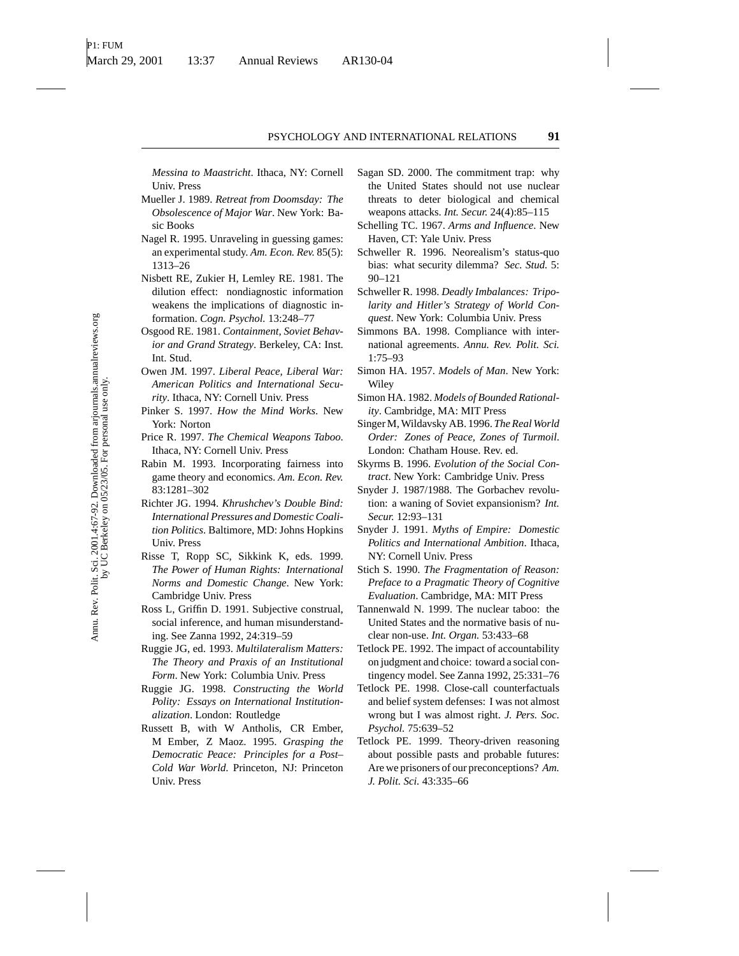*Messina to Maastricht*. Ithaca, NY: Cornell Univ. Press

- Mueller J. 1989. *Retreat from Doomsday: The Obsolescence of Major War*. New York: Basic Books
- Nagel R. 1995. Unraveling in guessing games: an experimental study. *Am. Econ. Rev.* 85(5): 1313–26
- Nisbett RE, Zukier H, Lemley RE. 1981. The dilution effect: nondiagnostic information weakens the implications of diagnostic information. *Cogn. Psychol.* 13:248–77
- Osgood RE. 1981. *Containment, Soviet Behavior and Grand Strategy*. Berkeley, CA: Inst. Int. Stud.
- Owen JM. 1997. *Liberal Peace, Liberal War: American Politics and International Security*. Ithaca, NY: Cornell Univ. Press
- Pinker S. 1997. *How the Mind Works*. New York: Norton
- Price R. 1997. *The Chemical Weapons Taboo*. Ithaca, NY: Cornell Univ. Press
- Rabin M. 1993. Incorporating fairness into game theory and economics. *Am. Econ. Rev.* 83:1281–302
- Richter JG. 1994. *Khrushchev's Double Bind: International Pressures and Domestic Coalition Politics*. Baltimore, MD: Johns Hopkins Univ. Press
- Risse T, Ropp SC, Sikkink K, eds. 1999. *The Power of Human Rights: International Norms and Domestic Change*. New York: Cambridge Univ. Press
- Ross L, Griffin D. 1991. Subjective construal, social inference, and human misunderstanding. See Zanna 1992, 24:319–59
- Ruggie JG, ed. 1993. *Multilateralism Matters: The Theory and Praxis of an Institutional Form*. New York: Columbia Univ. Press
- Ruggie JG. 1998. *Constructing the World Polity: Essays on International Institutionalization*. London: Routledge
- Russett B, with W Antholis, CR Ember, M Ember, Z Maoz. 1995. *Grasping the Democratic Peace: Principles for a Post– Cold War World*. Princeton, NJ: Princeton Univ. Press
- Sagan SD. 2000. The commitment trap: why the United States should not use nuclear threats to deter biological and chemical weapons attacks. *Int. Secur.* 24(4):85–115
- Schelling TC. 1967. *Arms and Influence*. New Haven, CT: Yale Univ. Press
- Schweller R. 1996. Neorealism's status-quo bias: what security dilemma? *Sec. Stud.* 5: 90–121
- Schweller R. 1998. *Deadly Imbalances: Tripolarity and Hitler's Strategy of World Conquest*. New York: Columbia Univ. Press
- Simmons BA. 1998. Compliance with international agreements. *Annu. Rev. Polit. Sci.* 1:75–93
- Simon HA. 1957. *Models of Man*. New York: **Wiley**
- Simon HA. 1982. *Models of Bounded Rationality*. Cambridge, MA: MIT Press
- Singer M, Wildavsky AB. 1996. *The Real World Order: Zones of Peace, Zones of Turmoil*. London: Chatham House. Rev. ed.
- Skyrms B. 1996. *Evolution of the Social Contract*. New York: Cambridge Univ. Press
- Snyder J. 1987/1988. The Gorbachev revolution: a waning of Soviet expansionism? *Int. Secur.* 12:93–131
- Snyder J. 1991. *Myths of Empire: Domestic Politics and International Ambition*. Ithaca, NY: Cornell Univ. Press
- Stich S. 1990. *The Fragmentation of Reason: Preface to a Pragmatic Theory of Cognitive Evaluation*. Cambridge, MA: MIT Press
- Tannenwald N. 1999. The nuclear taboo: the United States and the normative basis of nuclear non-use. *Int. Organ.* 53:433–68
- Tetlock PE. 1992. The impact of accountability on judgment and choice: toward a social contingency model. See Zanna 1992, 25:331–76
- Tetlock PE. 1998. Close-call counterfactuals and belief system defenses: I was not almost wrong but I was almost right. *J. Pers. Soc. Psychol.* 75:639–52
- Tetlock PE. 1999. Theory-driven reasoning about possible pasts and probable futures: Are we prisoners of our preconceptions? *Am. J. Polit. Sci.* 43:335–66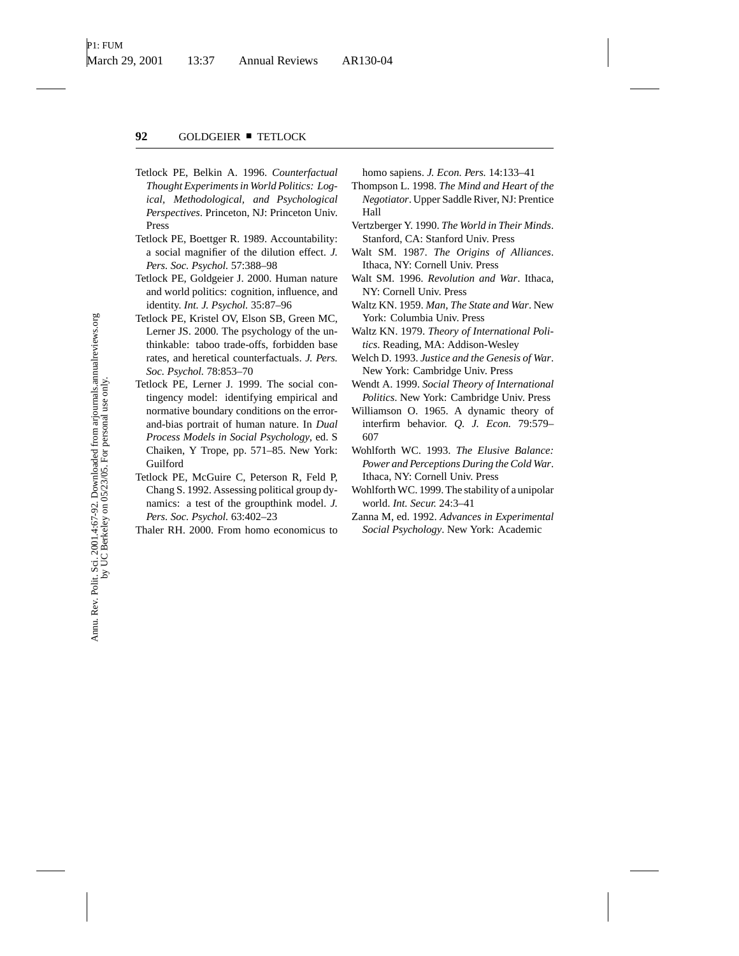- Tetlock PE, Belkin A. 1996. *Counterfactual Thought Experiments in World Politics: Logical, Methodological, and Psychological Perspectives*. Princeton, NJ: Princeton Univ. Press
- Tetlock PE, Boettger R. 1989. Accountability: a social magnifier of the dilution effect. *J. Pers. Soc. Psychol.* 57:388–98
- Tetlock PE, Goldgeier J. 2000. Human nature and world politics: cognition, influence, and identity. *Int. J. Psychol.* 35:87–96
- Tetlock PE, Kristel OV, Elson SB, Green MC, Lerner JS. 2000. The psychology of the unthinkable: taboo trade-offs, forbidden base rates, and heretical counterfactuals. *J. Pers. Soc. Psychol.* 78:853–70
- Tetlock PE, Lerner J. 1999. The social contingency model: identifying empirical and normative boundary conditions on the errorand-bias portrait of human nature. In *Dual Process Models in Social Psychology*, ed. S Chaiken, Y Trope, pp. 571–85. New York: Guilford
- Tetlock PE, McGuire C, Peterson R, Feld P, Chang S. 1992. Assessing political group dynamics: a test of the groupthink model. *J. Pers. Soc. Psychol.* 63:402–23
- Thaler RH. 2000. From homo economicus to

homo sapiens. *J. Econ. Pers.* 14:133–41

- Thompson L. 1998. *The Mind and Heart of the Negotiator*. Upper Saddle River, NJ: Prentice Hall
- Vertzberger Y. 1990. *The World in Their Minds*. Stanford, CA: Stanford Univ. Press
- Walt SM. 1987. *The Origins of Alliances*. Ithaca, NY: Cornell Univ. Press
- Walt SM. 1996. *Revolution and War*. Ithaca, NY: Cornell Univ. Press
- Waltz KN. 1959. *Man, The State and War*. New York: Columbia Univ. Press
- Waltz KN. 1979. *Theory of International Politics*. Reading, MA: Addison-Wesley
- Welch D. 1993. *Justice and the Genesis of War*. New York: Cambridge Univ. Press
- Wendt A. 1999. *Social Theory of International Politics*. New York: Cambridge Univ. Press
- Williamson O. 1965. A dynamic theory of interfirm behavior. *Q. J. Econ.* 79:579– 607
- Wohlforth WC. 1993. *The Elusive Balance: Power and Perceptions During the Cold War*. Ithaca, NY: Cornell Univ. Press
- Wohlforth WC. 1999. The stability of a unipolar world. *Int. Secur.* 24:3–41
- Zanna M, ed. 1992. *Advances in Experimental Social Psychology*. New York: Academic